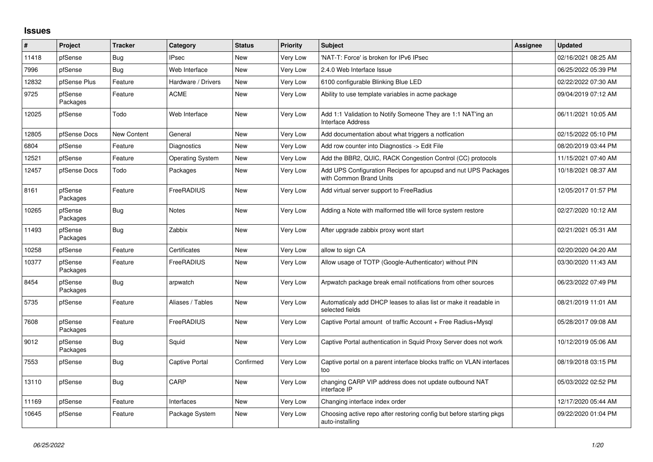## **Issues**

| #     | Project             | <b>Tracker</b>     | Category                | <b>Status</b> | <b>Priority</b> | Subject                                                                                   | Assignee | <b>Updated</b>      |
|-------|---------------------|--------------------|-------------------------|---------------|-----------------|-------------------------------------------------------------------------------------------|----------|---------------------|
| 11418 | pfSense             | Bug                | <b>IPsec</b>            | <b>New</b>    | Very Low        | 'NAT-T: Force' is broken for IPv6 IPsec                                                   |          | 02/16/2021 08:25 AM |
| 7996  | pfSense             | <b>Bug</b>         | Web Interface           | <b>New</b>    | Very Low        | 2.4.0 Web Interface Issue                                                                 |          | 06/25/2022 05:39 PM |
| 12832 | pfSense Plus        | Feature            | Hardware / Drivers      | New           | Very Low        | 6100 configurable Blinking Blue LED                                                       |          | 02/22/2022 07:30 AM |
| 9725  | pfSense<br>Packages | Feature            | <b>ACME</b>             | <b>New</b>    | Very Low        | Ability to use template variables in acme package                                         |          | 09/04/2019 07:12 AM |
| 12025 | pfSense             | Todo               | Web Interface           | <b>New</b>    | Very Low        | Add 1:1 Validation to Notify Someone They are 1:1 NAT'ing an<br><b>Interface Address</b>  |          | 06/11/2021 10:05 AM |
| 12805 | pfSense Docs        | <b>New Content</b> | General                 | <b>New</b>    | Very Low        | Add documentation about what triggers a notfication                                       |          | 02/15/2022 05:10 PM |
| 6804  | pfSense             | Feature            | Diagnostics             | <b>New</b>    | Very Low        | Add row counter into Diagnostics -> Edit File                                             |          | 08/20/2019 03:44 PM |
| 12521 | pfSense             | Feature            | <b>Operating System</b> | <b>New</b>    | Very Low        | Add the BBR2, QUIC, RACK Congestion Control (CC) protocols                                |          | 11/15/2021 07:40 AM |
| 12457 | pfSense Docs        | Todo               | Packages                | <b>New</b>    | Very Low        | Add UPS Configuration Recipes for apcupsd and nut UPS Packages<br>with Common Brand Units |          | 10/18/2021 08:37 AM |
| 8161  | pfSense<br>Packages | Feature            | FreeRADIUS              | <b>New</b>    | Very Low        | Add virtual server support to FreeRadius                                                  |          | 12/05/2017 01:57 PM |
| 10265 | pfSense<br>Packages | <b>Bug</b>         | <b>Notes</b>            | <b>New</b>    | Very Low        | Adding a Note with malformed title will force system restore                              |          | 02/27/2020 10:12 AM |
| 11493 | pfSense<br>Packages | <b>Bug</b>         | Zabbix                  | <b>New</b>    | Very Low        | After upgrade zabbix proxy wont start                                                     |          | 02/21/2021 05:31 AM |
| 10258 | pfSense             | Feature            | Certificates            | <b>New</b>    | Very Low        | allow to sign CA                                                                          |          | 02/20/2020 04:20 AM |
| 10377 | pfSense<br>Packages | Feature            | <b>FreeRADIUS</b>       | <b>New</b>    | Very Low        | Allow usage of TOTP (Google-Authenticator) without PIN                                    |          | 03/30/2020 11:43 AM |
| 8454  | pfSense<br>Packages | <b>Bug</b>         | arpwatch                | <b>New</b>    | Very Low        | Arpwatch package break email notifications from other sources                             |          | 06/23/2022 07:49 PM |
| 5735  | pfSense             | Feature            | Aliases / Tables        | <b>New</b>    | Very Low        | Automaticaly add DHCP leases to alias list or make it readable in<br>selected fields      |          | 08/21/2019 11:01 AM |
| 7608  | pfSense<br>Packages | Feature            | FreeRADIUS              | <b>New</b>    | Very Low        | Captive Portal amount of traffic Account + Free Radius+Mysql                              |          | 05/28/2017 09:08 AM |
| 9012  | pfSense<br>Packages | <b>Bug</b>         | Squid                   | <b>New</b>    | Very Low        | Captive Portal authentication in Squid Proxy Server does not work                         |          | 10/12/2019 05:06 AM |
| 7553  | pfSense             | <b>Bug</b>         | <b>Captive Portal</b>   | Confirmed     | Very Low        | Captive portal on a parent interface blocks traffic on VLAN interfaces<br>too             |          | 08/19/2018 03:15 PM |
| 13110 | pfSense             | Bug                | CARP                    | <b>New</b>    | Very Low        | changing CARP VIP address does not update outbound NAT<br>interface IP                    |          | 05/03/2022 02:52 PM |
| 11169 | pfSense             | Feature            | Interfaces              | <b>New</b>    | Very Low        | Changing interface index order                                                            |          | 12/17/2020 05:44 AM |
| 10645 | pfSense             | Feature            | Package System          | <b>New</b>    | Very Low        | Choosing active repo after restoring config but before starting pkgs<br>auto-installing   |          | 09/22/2020 01:04 PM |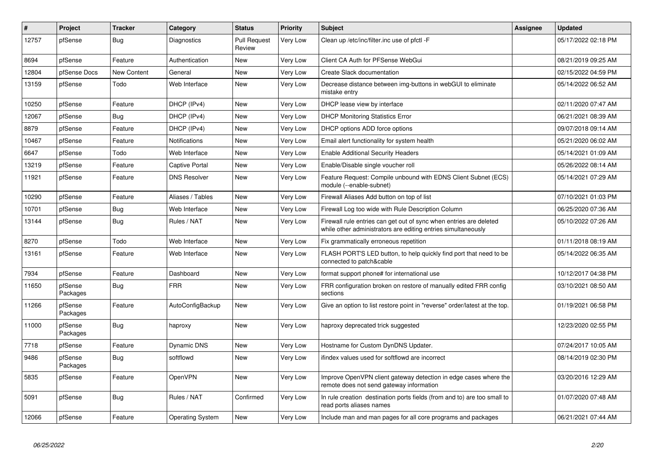| #     | Project             | <b>Tracker</b>     | Category                | <b>Status</b>                 | <b>Priority</b> | Subject                                                                                                                             | Assignee | <b>Updated</b>      |
|-------|---------------------|--------------------|-------------------------|-------------------------------|-----------------|-------------------------------------------------------------------------------------------------------------------------------------|----------|---------------------|
| 12757 | pfSense             | <b>Bug</b>         | Diagnostics             | <b>Pull Request</b><br>Review | Very Low        | Clean up /etc/inc/filter.inc use of pfctl -F                                                                                        |          | 05/17/2022 02:18 PM |
| 8694  | pfSense             | Feature            | Authentication          | New                           | Very Low        | Client CA Auth for PFSense WebGui                                                                                                   |          | 08/21/2019 09:25 AM |
| 12804 | pfSense Docs        | <b>New Content</b> | General                 | <b>New</b>                    | Very Low        | Create Slack documentation                                                                                                          |          | 02/15/2022 04:59 PM |
| 13159 | pfSense             | Todo               | Web Interface           | <b>New</b>                    | Very Low        | Decrease distance between img-buttons in webGUI to eliminate<br>mistake entry                                                       |          | 05/14/2022 06:52 AM |
| 10250 | pfSense             | Feature            | DHCP (IPv4)             | <b>New</b>                    | Very Low        | DHCP lease view by interface                                                                                                        |          | 02/11/2020 07:47 AM |
| 12067 | pfSense             | Bug                | DHCP (IPv4)             | <b>New</b>                    | Very Low        | <b>DHCP Monitoring Statistics Error</b>                                                                                             |          | 06/21/2021 08:39 AM |
| 8879  | pfSense             | Feature            | DHCP (IPv4)             | <b>New</b>                    | Very Low        | DHCP options ADD force options                                                                                                      |          | 09/07/2018 09:14 AM |
| 10467 | pfSense             | Feature            | <b>Notifications</b>    | <b>New</b>                    | Very Low        | Email alert functionality for system health                                                                                         |          | 05/21/2020 06:02 AM |
| 6647  | pfSense             | Todo               | Web Interface           | <b>New</b>                    | Very Low        | <b>Enable Additional Security Headers</b>                                                                                           |          | 05/14/2021 01:09 AM |
| 13219 | pfSense             | Feature            | <b>Captive Portal</b>   | <b>New</b>                    | Very Low        | Enable/Disable single voucher roll                                                                                                  |          | 05/26/2022 08:14 AM |
| 11921 | pfSense             | Feature            | <b>DNS Resolver</b>     | <b>New</b>                    | Very Low        | Feature Request: Compile unbound with EDNS Client Subnet (ECS)<br>module (--enable-subnet)                                          |          | 05/14/2021 07:29 AM |
| 10290 | pfSense             | Feature            | Aliases / Tables        | <b>New</b>                    | Very Low        | Firewall Aliases Add button on top of list                                                                                          |          | 07/10/2021 01:03 PM |
| 10701 | pfSense             | <b>Bug</b>         | Web Interface           | <b>New</b>                    | Very Low        | Firewall Log too wide with Rule Description Column                                                                                  |          | 06/25/2020 07:36 AM |
| 13144 | pfSense             | <b>Bug</b>         | Rules / NAT             | <b>New</b>                    | Very Low        | Firewall rule entries can get out of sync when entries are deleted<br>while other administrators are editing entries simultaneously |          | 05/10/2022 07:26 AM |
| 8270  | pfSense             | Todo               | Web Interface           | <b>New</b>                    | Very Low        | Fix grammatically erroneous repetition                                                                                              |          | 01/11/2018 08:19 AM |
| 13161 | pfSense             | Feature            | Web Interface           | New                           | Very Low        | FLASH PORT'S LED button, to help quickly find port that need to be<br>connected to patch&cable                                      |          | 05/14/2022 06:35 AM |
| 7934  | pfSense             | Feature            | Dashboard               | <b>New</b>                    | Very Low        | format support phone# for international use                                                                                         |          | 10/12/2017 04:38 PM |
| 11650 | pfSense<br>Packages | Bug                | <b>FRR</b>              | <b>New</b>                    | Very Low        | FRR configuration broken on restore of manually edited FRR config<br>sections                                                       |          | 03/10/2021 08:50 AM |
| 11266 | pfSense<br>Packages | Feature            | AutoConfigBackup        | <b>New</b>                    | Very Low        | Give an option to list restore point in "reverse" order/latest at the top.                                                          |          | 01/19/2021 06:58 PM |
| 11000 | pfSense<br>Packages | Bug                | haproxy                 | <b>New</b>                    | Very Low        | haproxy deprecated trick suggested                                                                                                  |          | 12/23/2020 02:55 PM |
| 7718  | pfSense             | Feature            | Dynamic DNS             | <b>New</b>                    | Very Low        | Hostname for Custom DynDNS Updater.                                                                                                 |          | 07/24/2017 10:05 AM |
| 9486  | pfSense<br>Packages | Bug                | softflowd               | <b>New</b>                    | Very Low        | ifindex values used for softflowd are incorrect                                                                                     |          | 08/14/2019 02:30 PM |
| 5835  | pfSense             | Feature            | <b>OpenVPN</b>          | <b>New</b>                    | Very Low        | Improve OpenVPN client gateway detection in edge cases where the<br>remote does not send gateway information                        |          | 03/20/2016 12:29 AM |
| 5091  | pfSense             | Bug                | Rules / NAT             | Confirmed                     | Very Low        | In rule creation destination ports fields (from and to) are too small to<br>read ports aliases names                                |          | 01/07/2020 07:48 AM |
| 12066 | pfSense             | Feature            | <b>Operating System</b> | <b>New</b>                    | Very Low        | Include man and man pages for all core programs and packages                                                                        |          | 06/21/2021 07:44 AM |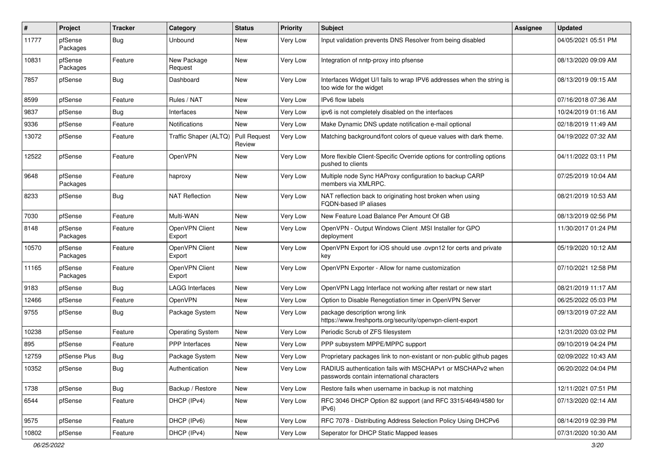| #     | Project             | <b>Tracker</b> | Category                 | <b>Status</b>          | <b>Priority</b> | Subject                                                                                                  | <b>Assignee</b> | <b>Updated</b>      |
|-------|---------------------|----------------|--------------------------|------------------------|-----------------|----------------------------------------------------------------------------------------------------------|-----------------|---------------------|
| 11777 | pfSense<br>Packages | Bug            | Unbound                  | New                    | <b>Very Low</b> | Input validation prevents DNS Resolver from being disabled                                               |                 | 04/05/2021 05:51 PM |
| 10831 | pfSense<br>Packages | Feature        | New Package<br>Request   | New                    | Very Low        | Integration of nntp-proxy into pfsense                                                                   |                 | 08/13/2020 09:09 AM |
| 7857  | pfSense             | Bug            | Dashboard                | New                    | <b>Very Low</b> | Interfaces Widget U/I fails to wrap IPV6 addresses when the string is<br>too wide for the widget         |                 | 08/13/2019 09:15 AM |
| 8599  | pfSense             | Feature        | Rules / NAT              | <b>New</b>             | Very Low        | IPv6 flow labels                                                                                         |                 | 07/16/2018 07:36 AM |
| 9837  | pfSense             | Bug            | Interfaces               | New                    | Very Low        | ipv6 is not completely disabled on the interfaces                                                        |                 | 10/24/2019 01:16 AM |
| 9336  | pfSense             | Feature        | <b>Notifications</b>     | New                    | Very Low        | Make Dynamic DNS update notification e-mail optional                                                     |                 | 02/18/2019 11:49 AM |
| 13072 | pfSense             | Feature        | Traffic Shaper (ALTQ)    | Pull Request<br>Review | Very Low        | Matching background/font colors of queue values with dark theme.                                         |                 | 04/19/2022 07:32 AM |
| 12522 | pfSense             | Feature        | OpenVPN                  | <b>New</b>             | Very Low        | More flexible Client-Specific Override options for controlling options<br>pushed to clients              |                 | 04/11/2022 03:11 PM |
| 9648  | pfSense<br>Packages | Feature        | haproxy                  | <b>New</b>             | Very Low        | Multiple node Sync HAProxy configuration to backup CARP<br>members via XMLRPC.                           |                 | 07/25/2019 10:04 AM |
| 8233  | pfSense             | Bug            | <b>NAT Reflection</b>    | New                    | <b>Very Low</b> | NAT reflection back to originating host broken when using<br>FQDN-based IP aliases                       |                 | 08/21/2019 10:53 AM |
| 7030  | pfSense             | Feature        | Multi-WAN                | <b>New</b>             | Very Low        | New Feature Load Balance Per Amount Of GB                                                                |                 | 08/13/2019 02:56 PM |
| 8148  | pfSense<br>Packages | Feature        | OpenVPN Client<br>Export | <b>New</b>             | <b>Very Low</b> | OpenVPN - Output Windows Client .MSI Installer for GPO<br>deployment                                     |                 | 11/30/2017 01:24 PM |
| 10570 | pfSense<br>Packages | Feature        | OpenVPN Client<br>Export | <b>New</b>             | Very Low        | OpenVPN Export for iOS should use .ovpn12 for certs and private<br>key                                   |                 | 05/19/2020 10:12 AM |
| 11165 | pfSense<br>Packages | Feature        | OpenVPN Client<br>Export | <b>New</b>             | Very Low        | OpenVPN Exporter - Allow for name customization                                                          |                 | 07/10/2021 12:58 PM |
| 9183  | pfSense             | <b>Bug</b>     | LAGG Interfaces          | <b>New</b>             | Very Low        | OpenVPN Lagg Interface not working after restart or new start                                            |                 | 08/21/2019 11:17 AM |
| 12466 | pfSense             | Feature        | <b>OpenVPN</b>           | <b>New</b>             | <b>Very Low</b> | Option to Disable Renegotiation timer in OpenVPN Server                                                  |                 | 06/25/2022 05:03 PM |
| 9755  | pfSense             | Bug            | Package System           | <b>New</b>             | Very Low        | package description wrong link<br>https://www.freshports.org/security/openvpn-client-export              |                 | 09/13/2019 07:22 AM |
| 10238 | pfSense             | Feature        | <b>Operating System</b>  | New                    | Very Low        | Periodic Scrub of ZFS filesystem                                                                         |                 | 12/31/2020 03:02 PM |
| 895   | pfSense             | Feature        | <b>PPP</b> Interfaces    | <b>New</b>             | Very Low        | PPP subsystem MPPE/MPPC support                                                                          |                 | 09/10/2019 04:24 PM |
| 12759 | pfSense Plus        | Bug            | Package System           | New                    | Very Low        | Proprietary packages link to non-existant or non-public github pages                                     |                 | 02/09/2022 10:43 AM |
| 10352 | pfSense             | <b>Bug</b>     | Authentication           | New                    | Very Low        | RADIUS authentication fails with MSCHAPv1 or MSCHAPv2 when<br>passwords contain international characters |                 | 06/20/2022 04:04 PM |
| 1738  | pfSense             | <b>Bug</b>     | Backup / Restore         | New                    | Very Low        | Restore fails when username in backup is not matching                                                    |                 | 12/11/2021 07:51 PM |
| 6544  | pfSense             | Feature        | DHCP (IPv4)              | New                    | Very Low        | RFC 3046 DHCP Option 82 support (and RFC 3315/4649/4580 for<br>IPv6)                                     |                 | 07/13/2020 02:14 AM |
| 9575  | pfSense             | Feature        | DHCP (IPv6)              | New                    | Very Low        | RFC 7078 - Distributing Address Selection Policy Using DHCPv6                                            |                 | 08/14/2019 02:39 PM |
| 10802 | pfSense             | Feature        | DHCP (IPv4)              | New                    | Very Low        | Seperator for DHCP Static Mapped leases                                                                  |                 | 07/31/2020 10:30 AM |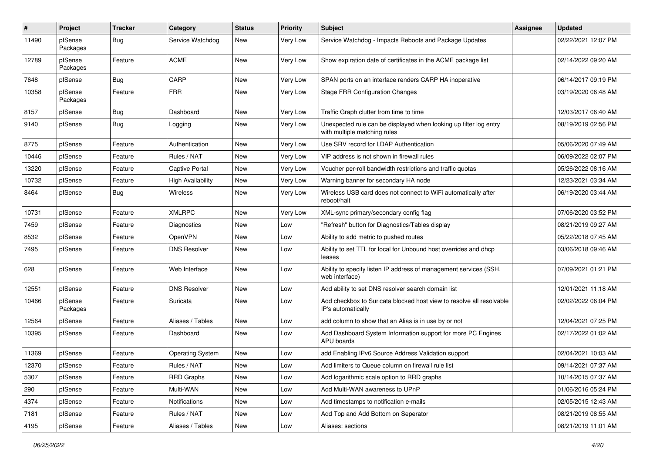| $\sharp$ | Project             | <b>Tracker</b> | Category                 | <b>Status</b> | <b>Priority</b> | <b>Subject</b>                                                                                    | <b>Assignee</b> | <b>Updated</b>      |
|----------|---------------------|----------------|--------------------------|---------------|-----------------|---------------------------------------------------------------------------------------------------|-----------------|---------------------|
| 11490    | pfSense<br>Packages | Bug            | Service Watchdog         | New           | Very Low        | Service Watchdog - Impacts Reboots and Package Updates                                            |                 | 02/22/2021 12:07 PM |
| 12789    | pfSense<br>Packages | Feature        | <b>ACME</b>              | <b>New</b>    | Very Low        | Show expiration date of certificates in the ACME package list                                     |                 | 02/14/2022 09:20 AM |
| 7648     | pfSense             | Bug            | CARP                     | <b>New</b>    | <b>Very Low</b> | SPAN ports on an interface renders CARP HA inoperative                                            |                 | 06/14/2017 09:19 PM |
| 10358    | pfSense<br>Packages | Feature        | <b>FRR</b>               | <b>New</b>    | Very Low        | <b>Stage FRR Configuration Changes</b>                                                            |                 | 03/19/2020 06:48 AM |
| 8157     | pfSense             | Bug            | Dashboard                | <b>New</b>    | Very Low        | Traffic Graph clutter from time to time                                                           |                 | 12/03/2017 06:40 AM |
| 9140     | pfSense             | Bug            | Logging                  | New           | Very Low        | Unexpected rule can be displayed when looking up filter log entry<br>with multiple matching rules |                 | 08/19/2019 02:56 PM |
| 8775     | pfSense             | Feature        | Authentication           | New           | <b>Very Low</b> | Use SRV record for LDAP Authentication                                                            |                 | 05/06/2020 07:49 AM |
| 10446    | pfSense             | Feature        | Rules / NAT              | <b>New</b>    | Very Low        | VIP address is not shown in firewall rules                                                        |                 | 06/09/2022 02:07 PM |
| 13220    | pfSense             | Feature        | Captive Portal           | <b>New</b>    | <b>Very Low</b> | Voucher per-roll bandwidth restrictions and traffic quotas                                        |                 | 05/26/2022 08:16 AM |
| 10732    | pfSense             | Feature        | <b>High Availability</b> | New           | Very Low        | Warning banner for secondary HA node                                                              |                 | 12/23/2021 03:34 AM |
| 8464     | pfSense             | Bug            | Wireless                 | New           | Very Low        | Wireless USB card does not connect to WiFi automatically after<br>reboot/halt                     |                 | 06/19/2020 03:44 AM |
| 10731    | pfSense             | Feature        | <b>XMLRPC</b>            | <b>New</b>    | Very Low        | XML-sync primary/secondary config flag                                                            |                 | 07/06/2020 03:52 PM |
| 7459     | pfSense             | Feature        | <b>Diagnostics</b>       | <b>New</b>    | Low             | "Refresh" button for Diagnostics/Tables display                                                   |                 | 08/21/2019 09:27 AM |
| 8532     | pfSense             | Feature        | OpenVPN                  | New           | Low             | Ability to add metric to pushed routes                                                            |                 | 05/22/2018 07:45 AM |
| 7495     | pfSense             | Feature        | <b>DNS Resolver</b>      | New           | Low             | Ability to set TTL for local for Unbound host overrides and dhcp<br>leases                        |                 | 03/06/2018 09:46 AM |
| 628      | pfSense             | Feature        | Web Interface            | <b>New</b>    | Low             | Ability to specify listen IP address of management services (SSH,<br>web interface)               |                 | 07/09/2021 01:21 PM |
| 12551    | pfSense             | Feature        | <b>DNS Resolver</b>      | <b>New</b>    | Low             | Add ability to set DNS resolver search domain list                                                |                 | 12/01/2021 11:18 AM |
| 10466    | pfSense<br>Packages | Feature        | Suricata                 | New           | Low             | Add checkbox to Suricata blocked host view to resolve all resolvable<br>IP's automatically        |                 | 02/02/2022 06:04 PM |
| 12564    | pfSense             | Feature        | Aliases / Tables         | New           | Low             | add column to show that an Alias is in use by or not                                              |                 | 12/04/2021 07:25 PM |
| 10395    | pfSense             | Feature        | Dashboard                | <b>New</b>    | Low             | Add Dashboard System Information support for more PC Engines<br>APU boards                        |                 | 02/17/2022 01:02 AM |
| 11369    | pfSense             | Feature        | <b>Operating System</b>  | New           | Low             | add Enabling IPv6 Source Address Validation support                                               |                 | 02/04/2021 10:03 AM |
| 12370    | pfSense             | Feature        | Rules / NAT              | New           | Low             | Add limiters to Queue column on firewall rule list                                                |                 | 09/14/2021 07:37 AM |
| 5307     | pfSense             | Feature        | <b>RRD Graphs</b>        | New           | Low             | Add logarithmic scale option to RRD graphs                                                        |                 | 10/14/2015 07:37 AM |
| 290      | pfSense             | Feature        | Multi-WAN                | New           | Low             | Add Multi-WAN awareness to UPnP                                                                   |                 | 01/06/2016 05:24 PM |
| 4374     | pfSense             | Feature        | Notifications            | New           | Low             | Add timestamps to notification e-mails                                                            |                 | 02/05/2015 12:43 AM |
| 7181     | pfSense             | Feature        | Rules / NAT              | New           | Low             | Add Top and Add Bottom on Seperator                                                               |                 | 08/21/2019 08:55 AM |
| 4195     | pfSense             | Feature        | Aliases / Tables         | New           | Low             | Aliases: sections                                                                                 |                 | 08/21/2019 11:01 AM |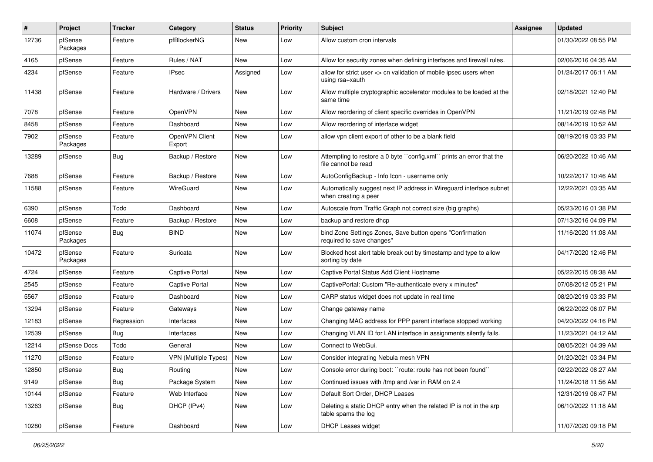| #     | <b>Project</b>      | <b>Tracker</b> | Category                    | <b>Status</b> | <b>Priority</b> | <b>Subject</b>                                                                              | <b>Assignee</b> | <b>Updated</b>      |
|-------|---------------------|----------------|-----------------------------|---------------|-----------------|---------------------------------------------------------------------------------------------|-----------------|---------------------|
| 12736 | pfSense<br>Packages | Feature        | pfBlockerNG                 | New           | Low             | Allow custom cron intervals                                                                 |                 | 01/30/2022 08:55 PM |
| 4165  | pfSense             | Feature        | Rules / NAT                 | New           | Low             | Allow for security zones when defining interfaces and firewall rules.                       |                 | 02/06/2016 04:35 AM |
| 4234  | pfSense             | Feature        | <b>IPsec</b>                | Assigned      | Low             | allow for strict user <> cn validation of mobile ipsec users when<br>using rsa+xauth        |                 | 01/24/2017 06:11 AM |
| 11438 | pfSense             | Feature        | Hardware / Drivers          | <b>New</b>    | Low             | Allow multiple cryptographic accelerator modules to be loaded at the<br>same time           |                 | 02/18/2021 12:40 PM |
| 7078  | pfSense             | Feature        | OpenVPN                     | <b>New</b>    | Low             | Allow reordering of client specific overrides in OpenVPN                                    |                 | 11/21/2019 02:48 PM |
| 8458  | pfSense             | Feature        | Dashboard                   | New           | Low             | Allow reordering of interface widget                                                        |                 | 08/14/2019 10:52 AM |
| 7902  | pfSense<br>Packages | Feature        | OpenVPN Client<br>Export    | New           | Low             | allow vpn client export of other to be a blank field                                        |                 | 08/19/2019 03:33 PM |
| 13289 | pfSense             | <b>Bug</b>     | Backup / Restore            | <b>New</b>    | Low             | Attempting to restore a 0 byte "config.xml" prints an error that the<br>file cannot be read |                 | 06/20/2022 10:46 AM |
| 7688  | pfSense             | Feature        | Backup / Restore            | <b>New</b>    | Low             | AutoConfigBackup - Info Icon - username only                                                |                 | 10/22/2017 10:46 AM |
| 11588 | pfSense             | Feature        | WireGuard                   | New           | Low             | Automatically suggest next IP address in Wireguard interface subnet<br>when creating a peer |                 | 12/22/2021 03:35 AM |
| 6390  | pfSense             | Todo           | Dashboard                   | New           | Low             | Autoscale from Traffic Graph not correct size (big graphs)                                  |                 | 05/23/2016 01:38 PM |
| 6608  | pfSense             | Feature        | Backup / Restore            | New           | Low             | backup and restore dhcp                                                                     |                 | 07/13/2016 04:09 PM |
| 11074 | pfSense<br>Packages | Bug            | <b>BIND</b>                 | New           | Low             | bind Zone Settings Zones, Save button opens "Confirmation<br>required to save changes"      |                 | 11/16/2020 11:08 AM |
| 10472 | pfSense<br>Packages | Feature        | Suricata                    | New           | Low             | Blocked host alert table break out by timestamp and type to allow<br>sorting by date        |                 | 04/17/2020 12:46 PM |
| 4724  | pfSense             | Feature        | <b>Captive Portal</b>       | New           | Low             | Captive Portal Status Add Client Hostname                                                   |                 | 05/22/2015 08:38 AM |
| 2545  | pfSense             | Feature        | <b>Captive Portal</b>       | <b>New</b>    | Low             | CaptivePortal: Custom "Re-authenticate every x minutes"                                     |                 | 07/08/2012 05:21 PM |
| 5567  | pfSense             | Feature        | Dashboard                   | New           | Low             | CARP status widget does not update in real time                                             |                 | 08/20/2019 03:33 PM |
| 13294 | pfSense             | Feature        | Gateways                    | New           | Low             | Change gateway name                                                                         |                 | 06/22/2022 06:07 PM |
| 12183 | pfSense             | Regression     | Interfaces                  | New           | Low             | Changing MAC address for PPP parent interface stopped working                               |                 | 04/20/2022 04:16 PM |
| 12539 | pfSense             | <b>Bug</b>     | Interfaces                  | New           | Low             | Changing VLAN ID for LAN interface in assignments silently fails.                           |                 | 11/23/2021 04:12 AM |
| 12214 | pfSense Docs        | Todo           | General                     | New           | Low             | Connect to WebGui.                                                                          |                 | 08/05/2021 04:39 AM |
| 11270 | pfSense             | Feature        | <b>VPN (Multiple Types)</b> | New           | Low             | Consider integrating Nebula mesh VPN                                                        |                 | 01/20/2021 03:34 PM |
| 12850 | pfSense             | <b>Bug</b>     | Routing                     | New           | Low             | Console error during boot: "route: route has not been found"                                |                 | 02/22/2022 08:27 AM |
| 9149  | pfSense             | Bug            | Package System              | New           | Low             | Continued issues with /tmp and /var in RAM on 2.4                                           |                 | 11/24/2018 11:56 AM |
| 10144 | pfSense             | Feature        | Web Interface               | New           | Low             | Default Sort Order, DHCP Leases                                                             |                 | 12/31/2019 06:47 PM |
| 13263 | pfSense             | <b>Bug</b>     | DHCP (IPv4)                 | New           | Low             | Deleting a static DHCP entry when the related IP is not in the arp<br>table spams the log   |                 | 06/10/2022 11:18 AM |
| 10280 | pfSense             | Feature        | Dashboard                   | New           | Low             | <b>DHCP Leases widget</b>                                                                   |                 | 11/07/2020 09:18 PM |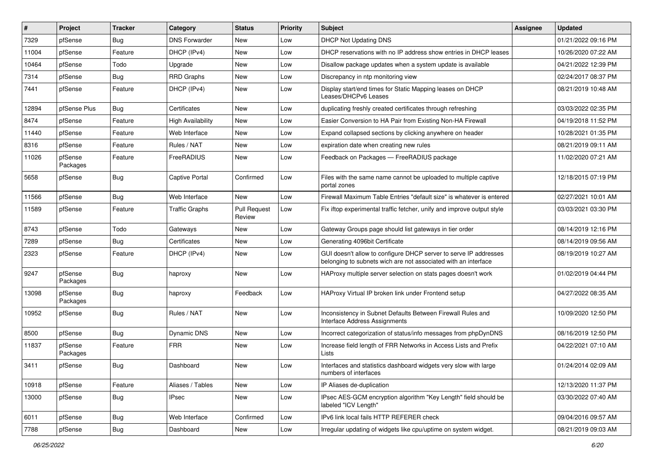| #     | Project             | <b>Tracker</b> | Category                 | <b>Status</b>                 | <b>Priority</b> | Subject                                                                                                                            | <b>Assignee</b> | <b>Updated</b>      |
|-------|---------------------|----------------|--------------------------|-------------------------------|-----------------|------------------------------------------------------------------------------------------------------------------------------------|-----------------|---------------------|
| 7329  | pfSense             | <b>Bug</b>     | <b>DNS Forwarder</b>     | New                           | Low             | DHCP Not Updating DNS                                                                                                              |                 | 01/21/2022 09:16 PM |
| 11004 | pfSense             | Feature        | DHCP (IPv4)              | New                           | Low             | DHCP reservations with no IP address show entries in DHCP leases                                                                   |                 | 10/26/2020 07:22 AM |
| 10464 | pfSense             | Todo           | Upgrade                  | New                           | Low             | Disallow package updates when a system update is available                                                                         |                 | 04/21/2022 12:39 PM |
| 7314  | pfSense             | <b>Bug</b>     | RRD Graphs               | New                           | Low             | Discrepancy in ntp monitoring view                                                                                                 |                 | 02/24/2017 08:37 PM |
| 7441  | pfSense             | Feature        | DHCP (IPv4)              | New                           | Low             | Display start/end times for Static Mapping leases on DHCP<br>Leases/DHCPv6 Leases                                                  |                 | 08/21/2019 10:48 AM |
| 12894 | pfSense Plus        | Bug            | Certificates             | New                           | Low             | duplicating freshly created certificates through refreshing                                                                        |                 | 03/03/2022 02:35 PM |
| 8474  | pfSense             | Feature        | <b>High Availability</b> | <b>New</b>                    | Low             | Easier Conversion to HA Pair from Existing Non-HA Firewall                                                                         |                 | 04/19/2018 11:52 PM |
| 11440 | pfSense             | Feature        | Web Interface            | New                           | Low             | Expand collapsed sections by clicking anywhere on header                                                                           |                 | 10/28/2021 01:35 PM |
| 8316  | pfSense             | Feature        | Rules / NAT              | <b>New</b>                    | Low             | expiration date when creating new rules                                                                                            |                 | 08/21/2019 09:11 AM |
| 11026 | pfSense<br>Packages | Feature        | FreeRADIUS               | New                           | Low             | Feedback on Packages - FreeRADIUS package                                                                                          |                 | 11/02/2020 07:21 AM |
| 5658  | pfSense             | Bug            | Captive Portal           | Confirmed                     | Low             | Files with the same name cannot be uploaded to multiple captive<br>portal zones                                                    |                 | 12/18/2015 07:19 PM |
| 11566 | pfSense             | Bug            | Web Interface            | New                           | Low             | Firewall Maximum Table Entries "default size" is whatever is entered                                                               |                 | 02/27/2021 10:01 AM |
| 11589 | pfSense             | Feature        | <b>Traffic Graphs</b>    | <b>Pull Request</b><br>Review | Low             | Fix iftop experimental traffic fetcher, unify and improve output style                                                             |                 | 03/03/2021 03:30 PM |
| 8743  | pfSense             | Todo           | Gateways                 | <b>New</b>                    | Low             | Gateway Groups page should list gateways in tier order                                                                             |                 | 08/14/2019 12:16 PM |
| 7289  | pfSense             | <b>Bug</b>     | Certificates             | New                           | Low             | Generating 4096bit Certificate                                                                                                     |                 | 08/14/2019 09:56 AM |
| 2323  | pfSense             | Feature        | DHCP (IPv4)              | New                           | Low             | GUI doesn't allow to configure DHCP server to serve IP addresses<br>belonging to subnets wich are not associated with an interface |                 | 08/19/2019 10:27 AM |
| 9247  | pfSense<br>Packages | <b>Bug</b>     | haproxy                  | New                           | Low             | HAProxy multiple server selection on stats pages doesn't work                                                                      |                 | 01/02/2019 04:44 PM |
| 13098 | pfSense<br>Packages | <b>Bug</b>     | haproxy                  | Feedback                      | Low             | HAProxy Virtual IP broken link under Frontend setup                                                                                |                 | 04/27/2022 08:35 AM |
| 10952 | pfSense             | Bug            | Rules / NAT              | New                           | Low             | Inconsistency in Subnet Defaults Between Firewall Rules and<br>Interface Address Assignments                                       |                 | 10/09/2020 12:50 PM |
| 8500  | pfSense             | Bug            | Dynamic DNS              | New                           | Low             | Incorrect categorization of status/info messages from phpDynDNS                                                                    |                 | 08/16/2019 12:50 PM |
| 11837 | pfSense<br>Packages | Feature        | <b>FRR</b>               | New                           | Low             | Increase field length of FRR Networks in Access Lists and Prefix<br>Lists                                                          |                 | 04/22/2021 07:10 AM |
| 3411  | pfSense             | Bug            | Dashboard                | <b>New</b>                    | Low             | Interfaces and statistics dashboard widgets very slow with large<br>numbers of interfaces                                          |                 | 01/24/2014 02:09 AM |
| 10918 | pfSense             | Feature        | Aliases / Tables         | New                           | Low             | IP Aliases de-duplication                                                                                                          |                 | 12/13/2020 11:37 PM |
| 13000 | pfSense             | Bug            | <b>IPsec</b>             | New                           | Low             | IPsec AES-GCM encryption algorithm "Key Length" field should be<br>labeled "ICV Length"                                            |                 | 03/30/2022 07:40 AM |
| 6011  | pfSense             | <b>Bug</b>     | Web Interface            | Confirmed                     | Low             | IPv6 link local fails HTTP REFERER check                                                                                           |                 | 09/04/2016 09:57 AM |
| 7788  | pfSense             | <b>Bug</b>     | Dashboard                | New                           | Low             | Irregular updating of widgets like cpu/uptime on system widget.                                                                    |                 | 08/21/2019 09:03 AM |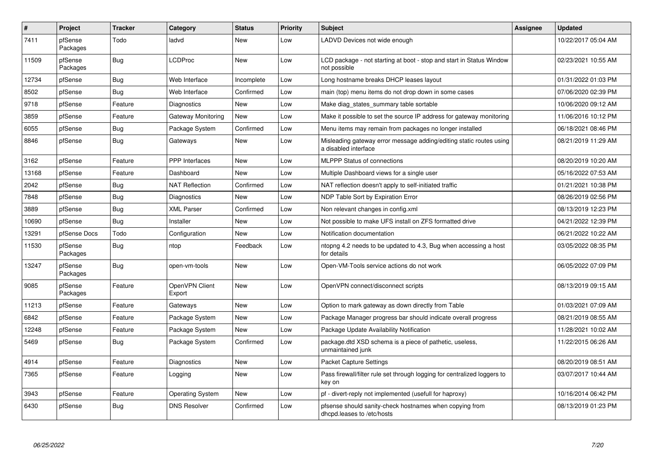| ∦     | Project             | <b>Tracker</b> | Category                 | <b>Status</b> | <b>Priority</b> | <b>Subject</b>                                                                              | <b>Assignee</b> | <b>Updated</b>      |
|-------|---------------------|----------------|--------------------------|---------------|-----------------|---------------------------------------------------------------------------------------------|-----------------|---------------------|
| 7411  | pfSense<br>Packages | Todo           | ladvd                    | New           | Low             | LADVD Devices not wide enough                                                               |                 | 10/22/2017 05:04 AM |
| 11509 | pfSense<br>Packages | <b>Bug</b>     | <b>LCDProc</b>           | <b>New</b>    | Low             | LCD package - not starting at boot - stop and start in Status Window<br>not possible        |                 | 02/23/2021 10:55 AM |
| 12734 | pfSense             | <b>Bug</b>     | Web Interface            | Incomplete    | Low             | Long hostname breaks DHCP leases layout                                                     |                 | 01/31/2022 01:03 PM |
| 8502  | pfSense             | <b>Bug</b>     | Web Interface            | Confirmed     | Low             | main (top) menu items do not drop down in some cases                                        |                 | 07/06/2020 02:39 PM |
| 9718  | pfSense             | Feature        | Diagnostics              | <b>New</b>    | Low             | Make diag states summary table sortable                                                     |                 | 10/06/2020 09:12 AM |
| 3859  | pfSense             | Feature        | Gateway Monitoring       | <b>New</b>    | Low             | Make it possible to set the source IP address for gateway monitoring                        |                 | 11/06/2016 10:12 PM |
| 6055  | pfSense             | Bug            | Package System           | Confirmed     | Low             | Menu items may remain from packages no longer installed                                     |                 | 06/18/2021 08:46 PM |
| 8846  | pfSense             | <b>Bug</b>     | Gateways                 | New           | Low             | Misleading gateway error message adding/editing static routes using<br>a disabled interface |                 | 08/21/2019 11:29 AM |
| 3162  | pfSense             | Feature        | <b>PPP</b> Interfaces    | <b>New</b>    | Low             | <b>MLPPP Status of connections</b>                                                          |                 | 08/20/2019 10:20 AM |
| 13168 | pfSense             | Feature        | Dashboard                | <b>New</b>    | Low             | Multiple Dashboard views for a single user                                                  |                 | 05/16/2022 07:53 AM |
| 2042  | pfSense             | Bug            | <b>NAT Reflection</b>    | Confirmed     | Low             | NAT reflection doesn't apply to self-initiated traffic                                      |                 | 01/21/2021 10:38 PM |
| 7848  | pfSense             | <b>Bug</b>     | Diagnostics              | <b>New</b>    | Low             | NDP Table Sort by Expiration Error                                                          |                 | 08/26/2019 02:56 PM |
| 3889  | pfSense             | <b>Bug</b>     | <b>XML Parser</b>        | Confirmed     | Low             | Non relevant changes in config.xml                                                          |                 | 08/13/2019 12:23 PM |
| 10690 | pfSense             | <b>Bug</b>     | Installer                | <b>New</b>    | Low             | Not possible to make UFS install on ZFS formatted drive                                     |                 | 04/21/2022 12:39 PM |
| 13291 | pfSense Docs        | Todo           | Configuration            | <b>New</b>    | Low             | Notification documentation                                                                  |                 | 06/21/2022 10:22 AM |
| 11530 | pfSense<br>Packages | Bug            | ntop                     | Feedback      | Low             | ntopng 4.2 needs to be updated to 4.3, Bug when accessing a host<br>for details             |                 | 03/05/2022 08:35 PM |
| 13247 | pfSense<br>Packages | Bug            | open-vm-tools            | <b>New</b>    | Low             | Open-VM-Tools service actions do not work                                                   |                 | 06/05/2022 07:09 PM |
| 9085  | pfSense<br>Packages | Feature        | OpenVPN Client<br>Export | <b>New</b>    | Low             | OpenVPN connect/disconnect scripts                                                          |                 | 08/13/2019 09:15 AM |
| 11213 | pfSense             | Feature        | Gateways                 | <b>New</b>    | Low             | Option to mark gateway as down directly from Table                                          |                 | 01/03/2021 07:09 AM |
| 6842  | pfSense             | Feature        | Package System           | <b>New</b>    | Low             | Package Manager progress bar should indicate overall progress                               |                 | 08/21/2019 08:55 AM |
| 12248 | pfSense             | Feature        | Package System           | <b>New</b>    | Low             | Package Update Availability Notification                                                    |                 | 11/28/2021 10:02 AM |
| 5469  | pfSense             | Bug            | Package System           | Confirmed     | Low             | package.dtd XSD schema is a piece of pathetic, useless,<br>unmaintained junk                |                 | 11/22/2015 06:26 AM |
| 4914  | pfSense             | Feature        | Diagnostics              | <b>New</b>    | Low             | <b>Packet Capture Settings</b>                                                              |                 | 08/20/2019 08:51 AM |
| 7365  | pfSense             | Feature        | Logging                  | <b>New</b>    | Low             | Pass firewall/filter rule set through logging for centralized loggers to<br>key on          |                 | 03/07/2017 10:44 AM |
| 3943  | pfSense             | Feature        | Operating System         | <b>New</b>    | Low             | pf - divert-reply not implemented (usefull for haproxy)                                     |                 | 10/16/2014 06:42 PM |
| 6430  | pfSense             | <b>Bug</b>     | <b>DNS Resolver</b>      | Confirmed     | Low             | pfsense should sanity-check hostnames when copying from<br>dhcpd.leases to /etc/hosts       |                 | 08/13/2019 01:23 PM |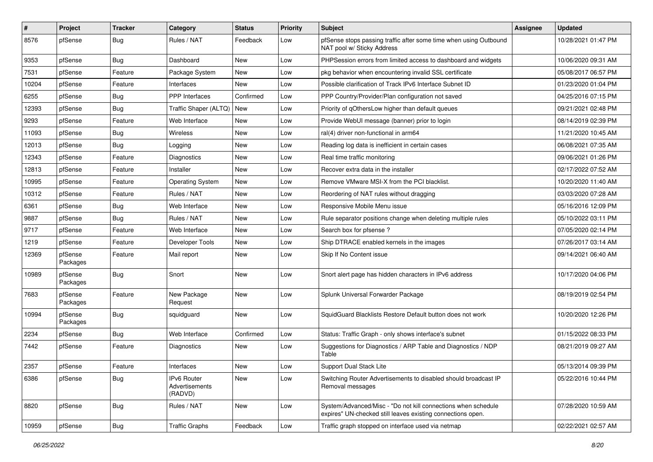| ∦     | Project             | <b>Tracker</b> | Category                                 | <b>Status</b> | <b>Priority</b> | Subject                                                                                                                      | <b>Assignee</b> | <b>Updated</b>      |
|-------|---------------------|----------------|------------------------------------------|---------------|-----------------|------------------------------------------------------------------------------------------------------------------------------|-----------------|---------------------|
| 8576  | pfSense             | Bug            | Rules / NAT                              | Feedback      | Low             | pfSense stops passing traffic after some time when using Outbound<br>NAT pool w/ Sticky Address                              |                 | 10/28/2021 01:47 PM |
| 9353  | pfSense             | <b>Bug</b>     | Dashboard                                | <b>New</b>    | Low             | PHPSession errors from limited access to dashboard and widgets                                                               |                 | 10/06/2020 09:31 AM |
| 7531  | pfSense             | Feature        | Package System                           | New           | Low             | pkg behavior when encountering invalid SSL certificate                                                                       |                 | 05/08/2017 06:57 PM |
| 10204 | pfSense             | Feature        | Interfaces                               | <b>New</b>    | Low             | Possible clarification of Track IPv6 Interface Subnet ID                                                                     |                 | 01/23/2020 01:04 PM |
| 6255  | pfSense             | Bug            | PPP Interfaces                           | Confirmed     | Low             | PPP Country/Provider/Plan configuration not saved                                                                            |                 | 04/25/2016 07:15 PM |
| 12393 | pfSense             | Bug            | Traffic Shaper (ALTQ)   New              |               | Low             | Priority of gOthersLow higher than default queues                                                                            |                 | 09/21/2021 02:48 PM |
| 9293  | pfSense             | Feature        | Web Interface                            | <b>New</b>    | Low             | Provide WebUI message (banner) prior to login                                                                                |                 | 08/14/2019 02:39 PM |
| 11093 | pfSense             | <b>Bug</b>     | Wireless                                 | New           | Low             | ral(4) driver non-functional in arm64                                                                                        |                 | 11/21/2020 10:45 AM |
| 12013 | pfSense             | Bug            | Logging                                  | <b>New</b>    | Low             | Reading log data is inefficient in certain cases                                                                             |                 | 06/08/2021 07:35 AM |
| 12343 | pfSense             | Feature        | Diagnostics                              | New           | Low             | Real time traffic monitoring                                                                                                 |                 | 09/06/2021 01:26 PM |
| 12813 | pfSense             | Feature        | Installer                                | <b>New</b>    | Low             | Recover extra data in the installer                                                                                          |                 | 02/17/2022 07:52 AM |
| 10995 | pfSense             | Feature        | <b>Operating System</b>                  | <b>New</b>    | Low             | Remove VMware MSI-X from the PCI blacklist.                                                                                  |                 | 10/20/2020 11:40 AM |
| 10312 | pfSense             | Feature        | Rules / NAT                              | <b>New</b>    | Low             | Reordering of NAT rules without dragging                                                                                     |                 | 03/03/2020 07:28 AM |
| 6361  | pfSense             | Bug            | Web Interface                            | <b>New</b>    | Low             | Responsive Mobile Menu issue                                                                                                 |                 | 05/16/2016 12:09 PM |
| 9887  | pfSense             | <b>Bug</b>     | Rules / NAT                              | <b>New</b>    | Low             | Rule separator positions change when deleting multiple rules                                                                 |                 | 05/10/2022 03:11 PM |
| 9717  | pfSense             | Feature        | Web Interface                            | <b>New</b>    | Low             | Search box for pfsense?                                                                                                      |                 | 07/05/2020 02:14 PM |
| 1219  | pfSense             | Feature        | Developer Tools                          | <b>New</b>    | Low             | Ship DTRACE enabled kernels in the images                                                                                    |                 | 07/26/2017 03:14 AM |
| 12369 | pfSense<br>Packages | Feature        | Mail report                              | New           | Low             | Skip If No Content issue                                                                                                     |                 | 09/14/2021 06:40 AM |
| 10989 | pfSense<br>Packages | <b>Bug</b>     | Snort                                    | <b>New</b>    | Low             | Snort alert page has hidden characters in IPv6 address                                                                       |                 | 10/17/2020 04:06 PM |
| 7683  | pfSense<br>Packages | Feature        | New Package<br>Request                   | New           | Low             | Splunk Universal Forwarder Package                                                                                           |                 | 08/19/2019 02:54 PM |
| 10994 | pfSense<br>Packages | Bug            | squidguard                               | <b>New</b>    | Low             | SquidGuard Blacklists Restore Default button does not work                                                                   |                 | 10/20/2020 12:26 PM |
| 2234  | pfSense             | <b>Bug</b>     | Web Interface                            | Confirmed     | Low             | Status: Traffic Graph - only shows interface's subnet                                                                        |                 | 01/15/2022 08:33 PM |
| 7442  | pfSense             | Feature        | Diagnostics                              | New           | Low             | Suggestions for Diagnostics / ARP Table and Diagnostics / NDP<br>Table                                                       |                 | 08/21/2019 09:27 AM |
| 2357  | pfSense             | Feature        | Interfaces                               | New           | Low             | Support Dual Stack Lite                                                                                                      |                 | 05/13/2014 09:39 PM |
| 6386  | pfSense             | Bug            | IPv6 Router<br>Advertisements<br>(RADVD) | New           | Low             | Switching Router Advertisements to disabled should broadcast IP<br>Removal messages                                          |                 | 05/22/2016 10:44 PM |
| 8820  | pfSense             | Bug            | Rules / NAT                              | New           | Low             | System/Advanced/Misc - "Do not kill connections when schedule<br>expires" UN-checked still leaves existing connections open. |                 | 07/28/2020 10:59 AM |
| 10959 | pfSense             | <b>Bug</b>     | <b>Traffic Graphs</b>                    | Feedback      | Low             | Traffic graph stopped on interface used via netmap                                                                           |                 | 02/22/2021 02:57 AM |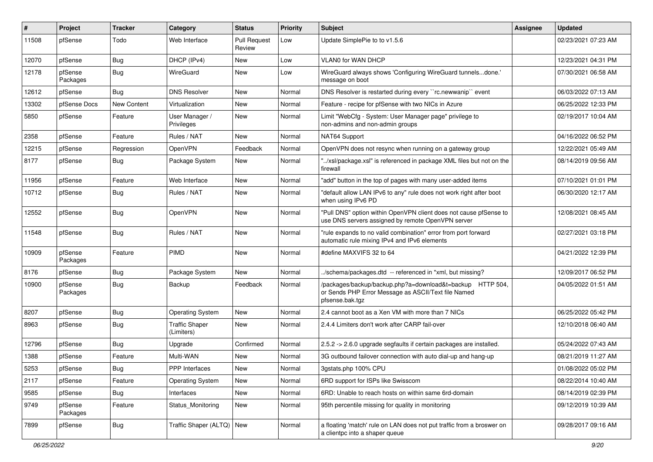| ∦     | Project             | <b>Tracker</b>     | Category                            | <b>Status</b>          | <b>Priority</b> | <b>Subject</b>                                                                                                                      | Assignee | <b>Updated</b>      |
|-------|---------------------|--------------------|-------------------------------------|------------------------|-----------------|-------------------------------------------------------------------------------------------------------------------------------------|----------|---------------------|
| 11508 | pfSense             | Todo               | Web Interface                       | Pull Request<br>Review | Low             | Update SimplePie to to v1.5.6                                                                                                       |          | 02/23/2021 07:23 AM |
| 12070 | pfSense             | <b>Bug</b>         | DHCP (IPv4)                         | New                    | Low             | <b>VLAN0 for WAN DHCP</b>                                                                                                           |          | 12/23/2021 04:31 PM |
| 12178 | pfSense<br>Packages | Bug                | WireGuard                           | New                    | Low             | WireGuard always shows 'Configuring WireGuard tunnelsdone.'<br>message on boot                                                      |          | 07/30/2021 06:58 AM |
| 12612 | pfSense             | Bug                | <b>DNS Resolver</b>                 | <b>New</b>             | Normal          | DNS Resolver is restarted during every "rc.newwanip" event                                                                          |          | 06/03/2022 07:13 AM |
| 13302 | pfSense Docs        | <b>New Content</b> | Virtualization                      | <b>New</b>             | Normal          | Feature - recipe for pfSense with two NICs in Azure                                                                                 |          | 06/25/2022 12:33 PM |
| 5850  | pfSense             | Feature            | User Manager /<br>Privileges        | New                    | Normal          | Limit "WebCfg - System: User Manager page" privilege to<br>non-admins and non-admin groups                                          |          | 02/19/2017 10:04 AM |
| 2358  | pfSense             | Feature            | Rules / NAT                         | <b>New</b>             | Normal          | NAT64 Support                                                                                                                       |          | 04/16/2022 06:52 PM |
| 12215 | pfSense             | Regression         | <b>OpenVPN</b>                      | Feedback               | Normal          | OpenVPN does not resync when running on a gateway group                                                                             |          | 12/22/2021 05:49 AM |
| 8177  | pfSense             | Bug                | Package System                      | New                    | Normal          | '/xsl/package.xsl" is referenced in package XML files but not on the<br>firewall                                                    |          | 08/14/2019 09:56 AM |
| 11956 | pfSense             | Feature            | Web Interface                       | <b>New</b>             | Normal          | 'add" button in the top of pages with many user-added items                                                                         |          | 07/10/2021 01:01 PM |
| 10712 | pfSense             | Bug                | Rules / NAT                         | New                    | Normal          | "default allow LAN IPv6 to any" rule does not work right after boot<br>when using IPv6 PD                                           |          | 06/30/2020 12:17 AM |
| 12552 | pfSense             | Bug                | OpenVPN                             | <b>New</b>             | Normal          | "Pull DNS" option within OpenVPN client does not cause pfSense to<br>use DNS servers assigned by remote OpenVPN server              |          | 12/08/2021 08:45 AM |
| 11548 | pfSense             | Bug                | Rules / NAT                         | New                    | Normal          | "rule expands to no valid combination" error from port forward<br>automatic rule mixing IPv4 and IPv6 elements                      |          | 02/27/2021 03:18 PM |
| 10909 | pfSense<br>Packages | Feature            | PIMD                                | New                    | Normal          | #define MAXVIFS 32 to 64                                                                                                            |          | 04/21/2022 12:39 PM |
| 8176  | pfSense             | Bug                | Package System                      | New                    | Normal          | ./schema/packages.dtd -- referenced in *xml, but missing?                                                                           |          | 12/09/2017 06:52 PM |
| 10900 | pfSense<br>Packages | Bug                | Backup                              | Feedback               | Normal          | /packages/backup/backup.php?a=download&t=backup HTTP 504,<br>or Sends PHP Error Message as ASCII/Text file Named<br>pfsense.bak.tgz |          | 04/05/2022 01:51 AM |
| 8207  | pfSense             | Bug                | Operating System                    | <b>New</b>             | Normal          | 2.4 cannot boot as a Xen VM with more than 7 NICs                                                                                   |          | 06/25/2022 05:42 PM |
| 8963  | pfSense             | Bug                | <b>Traffic Shaper</b><br>(Limiters) | New                    | Normal          | 2.4.4 Limiters don't work after CARP fail-over                                                                                      |          | 12/10/2018 06:40 AM |
| 12796 | pfSense             | <b>Bug</b>         | Upgrade                             | Confirmed              | Normal          | 2.5.2 -> 2.6.0 upgrade segfaults if certain packages are installed.                                                                 |          | 05/24/2022 07:43 AM |
| 1388  | pfSense             | Feature            | Multi-WAN                           | New                    | Normal          | 3G outbound failover connection with auto dial-up and hang-up                                                                       |          | 08/21/2019 11:27 AM |
| 5253  | pfSense             | <b>Bug</b>         | PPP Interfaces                      | New                    | Normal          | 3gstats.php 100% CPU                                                                                                                |          | 01/08/2022 05:02 PM |
| 2117  | pfSense             | Feature            | <b>Operating System</b>             | New                    | Normal          | 6RD support for ISPs like Swisscom                                                                                                  |          | 08/22/2014 10:40 AM |
| 9585  | pfSense             | <b>Bug</b>         | Interfaces                          | New                    | Normal          | 6RD: Unable to reach hosts on within same 6rd-domain                                                                                |          | 08/14/2019 02:39 PM |
| 9749  | pfSense<br>Packages | Feature            | Status_Monitoring                   | New                    | Normal          | 95th percentile missing for quality in monitoring                                                                                   |          | 09/12/2019 10:39 AM |
| 7899  | pfSense             | <b>Bug</b>         | Traffic Shaper (ALTQ) New           |                        | Normal          | a floating 'match' rule on LAN does not put traffic from a broswer on<br>a clientpc into a shaper queue                             |          | 09/28/2017 09:16 AM |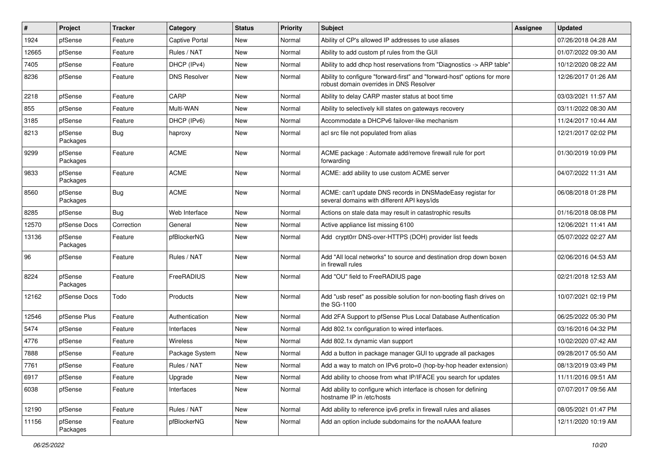| $\vert$ # | Project             | <b>Tracker</b> | Category            | <b>Status</b> | <b>Priority</b> | <b>Subject</b>                                                                                                      | <b>Assignee</b> | <b>Updated</b>      |
|-----------|---------------------|----------------|---------------------|---------------|-----------------|---------------------------------------------------------------------------------------------------------------------|-----------------|---------------------|
| 1924      | pfSense             | Feature        | Captive Portal      | <b>New</b>    | Normal          | Ability of CP's allowed IP addresses to use aliases                                                                 |                 | 07/26/2018 04:28 AM |
| 12665     | pfSense             | Feature        | Rules / NAT         | New           | Normal          | Ability to add custom pf rules from the GUI                                                                         |                 | 01/07/2022 09:30 AM |
| 7405      | pfSense             | Feature        | DHCP (IPv4)         | New           | Normal          | Ability to add dhcp host reservations from "Diagnostics -> ARP table"                                               |                 | 10/12/2020 08:22 AM |
| 8236      | pfSense             | Feature        | <b>DNS Resolver</b> | New           | Normal          | Ability to configure "forward-first" and "forward-host" options for more<br>robust domain overrides in DNS Resolver |                 | 12/26/2017 01:26 AM |
| 2218      | pfSense             | Feature        | CARP                | New           | Normal          | Ability to delay CARP master status at boot time                                                                    |                 | 03/03/2021 11:57 AM |
| 855       | pfSense             | Feature        | Multi-WAN           | New           | Normal          | Ability to selectively kill states on gateways recovery                                                             |                 | 03/11/2022 08:30 AM |
| 3185      | pfSense             | Feature        | DHCP (IPv6)         | New           | Normal          | Accommodate a DHCPv6 failover-like mechanism                                                                        |                 | 11/24/2017 10:44 AM |
| 8213      | pfSense<br>Packages | <b>Bug</b>     | haproxy             | New           | Normal          | acl src file not populated from alias                                                                               |                 | 12/21/2017 02:02 PM |
| 9299      | pfSense<br>Packages | Feature        | <b>ACME</b>         | <b>New</b>    | Normal          | ACME package : Automate add/remove firewall rule for port<br>forwarding                                             |                 | 01/30/2019 10:09 PM |
| 9833      | pfSense<br>Packages | Feature        | <b>ACME</b>         | <b>New</b>    | Normal          | ACME: add ability to use custom ACME server                                                                         |                 | 04/07/2022 11:31 AM |
| 8560      | pfSense<br>Packages | Bug            | <b>ACME</b>         | <b>New</b>    | Normal          | ACME: can't update DNS records in DNSMadeEasy registar for<br>several domains with different API keys/ids           |                 | 06/08/2018 01:28 PM |
| 8285      | pfSense             | Bug            | Web Interface       | New           | Normal          | Actions on stale data may result in catastrophic results                                                            |                 | 01/16/2018 08:08 PM |
| 12570     | pfSense Docs        | Correction     | General             | New           | Normal          | Active appliance list missing 6100                                                                                  |                 | 12/06/2021 11:41 AM |
| 13136     | pfSense<br>Packages | Feature        | pfBlockerNG         | <b>New</b>    | Normal          | Add crypt0rr DNS-over-HTTPS (DOH) provider list feeds                                                               |                 | 05/07/2022 02:27 AM |
| 96        | pfSense             | Feature        | Rules / NAT         | New           | Normal          | Add "All local networks" to source and destination drop down boxen<br>in firewall rules                             |                 | 02/06/2016 04:53 AM |
| 8224      | pfSense<br>Packages | Feature        | FreeRADIUS          | <b>New</b>    | Normal          | Add "OU" field to FreeRADIUS page                                                                                   |                 | 02/21/2018 12:53 AM |
| 12162     | pfSense Docs        | Todo           | Products            | New           | Normal          | Add "usb reset" as possible solution for non-booting flash drives on<br>the SG-1100                                 |                 | 10/07/2021 02:19 PM |
| 12546     | pfSense Plus        | Feature        | Authentication      | New           | Normal          | Add 2FA Support to pfSense Plus Local Database Authentication                                                       |                 | 06/25/2022 05:30 PM |
| 5474      | pfSense             | Feature        | Interfaces          | New           | Normal          | Add 802.1x configuration to wired interfaces.                                                                       |                 | 03/16/2016 04:32 PM |
| 4776      | pfSense             | Feature        | <b>Wireless</b>     | New           | Normal          | Add 802.1x dynamic vlan support                                                                                     |                 | 10/02/2020 07:42 AM |
| 7888      | pfSense             | Feature        | Package System      | New           | Normal          | Add a button in package manager GUI to upgrade all packages                                                         |                 | 09/28/2017 05:50 AM |
| 7761      | pfSense             | Feature        | Rules / NAT         | New           | Normal          | Add a way to match on IPv6 proto=0 (hop-by-hop header extension)                                                    |                 | 08/13/2019 03:49 PM |
| 6917      | pfSense             | Feature        | Upgrade             | New           | Normal          | Add ability to choose from what IP/IFACE you search for updates                                                     |                 | 11/11/2016 09:51 AM |
| 6038      | pfSense             | Feature        | Interfaces          | New           | Normal          | Add ability to configure which interface is chosen for defining<br>hostname IP in /etc/hosts                        |                 | 07/07/2017 09:56 AM |
| 12190     | pfSense             | Feature        | Rules / NAT         | New           | Normal          | Add ability to reference ipv6 prefix in firewall rules and aliases                                                  |                 | 08/05/2021 01:47 PM |
| 11156     | pfSense<br>Packages | Feature        | pfBlockerNG         | New           | Normal          | Add an option include subdomains for the noAAAA feature                                                             |                 | 12/11/2020 10:19 AM |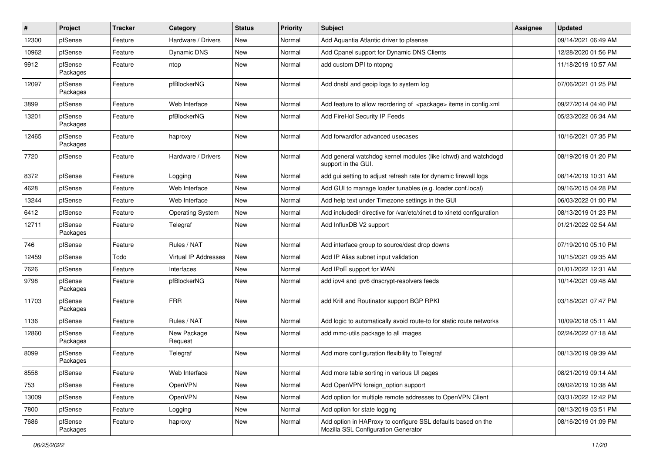| #     | Project             | <b>Tracker</b> | Category                | <b>Status</b> | <b>Priority</b> | <b>Subject</b>                                                                                      | <b>Assignee</b> | <b>Updated</b>      |
|-------|---------------------|----------------|-------------------------|---------------|-----------------|-----------------------------------------------------------------------------------------------------|-----------------|---------------------|
| 12300 | pfSense             | Feature        | Hardware / Drivers      | New           | Normal          | Add Aquantia Atlantic driver to pfsense                                                             |                 | 09/14/2021 06:49 AM |
| 10962 | pfSense             | Feature        | <b>Dynamic DNS</b>      | <b>New</b>    | Normal          | Add Cpanel support for Dynamic DNS Clients                                                          |                 | 12/28/2020 01:56 PM |
| 9912  | pfSense<br>Packages | Feature        | ntop                    | New           | Normal          | add custom DPI to ntopng                                                                            |                 | 11/18/2019 10:57 AM |
| 12097 | pfSense<br>Packages | Feature        | pfBlockerNG             | <b>New</b>    | Normal          | Add dnsbl and geoip logs to system log                                                              |                 | 07/06/2021 01:25 PM |
| 3899  | pfSense             | Feature        | Web Interface           | New           | Normal          | Add feature to allow reordering of <package> items in config.xml</package>                          |                 | 09/27/2014 04:40 PM |
| 13201 | pfSense<br>Packages | Feature        | pfBlockerNG             | <b>New</b>    | Normal          | Add FireHol Security IP Feeds                                                                       |                 | 05/23/2022 06:34 AM |
| 12465 | pfSense<br>Packages | Feature        | haproxy                 | <b>New</b>    | Normal          | Add forwardfor advanced usecases                                                                    |                 | 10/16/2021 07:35 PM |
| 7720  | pfSense             | Feature        | Hardware / Drivers      | <b>New</b>    | Normal          | Add general watchdog kernel modules (like ichwd) and watchdogd<br>support in the GUI.               |                 | 08/19/2019 01:20 PM |
| 8372  | pfSense             | Feature        | Logging                 | <b>New</b>    | Normal          | add gui setting to adjust refresh rate for dynamic firewall logs                                    |                 | 08/14/2019 10:31 AM |
| 4628  | pfSense             | Feature        | Web Interface           | New           | Normal          | Add GUI to manage loader tunables (e.g. loader.conf.local)                                          |                 | 09/16/2015 04:28 PM |
| 13244 | pfSense             | Feature        | Web Interface           | <b>New</b>    | Normal          | Add help text under Timezone settings in the GUI                                                    |                 | 06/03/2022 01:00 PM |
| 6412  | pfSense             | Feature        | <b>Operating System</b> | New           | Normal          | Add includedir directive for /var/etc/xinet.d to xinetd configuration                               |                 | 08/13/2019 01:23 PM |
| 12711 | pfSense<br>Packages | Feature        | Telegraf                | New           | Normal          | Add InfluxDB V2 support                                                                             |                 | 01/21/2022 02:54 AM |
| 746   | pfSense             | Feature        | Rules / NAT             | <b>New</b>    | Normal          | Add interface group to source/dest drop downs                                                       |                 | 07/19/2010 05:10 PM |
| 12459 | pfSense             | Todo           | Virtual IP Addresses    | <b>New</b>    | Normal          | Add IP Alias subnet input validation                                                                |                 | 10/15/2021 09:35 AM |
| 7626  | pfSense             | Feature        | Interfaces              | New           | Normal          | Add IPoE support for WAN                                                                            |                 | 01/01/2022 12:31 AM |
| 9798  | pfSense<br>Packages | Feature        | pfBlockerNG             | New           | Normal          | add ipv4 and ipv6 dnscrypt-resolvers feeds                                                          |                 | 10/14/2021 09:48 AM |
| 11703 | pfSense<br>Packages | Feature        | <b>FRR</b>              | New           | Normal          | add Krill and Routinator support BGP RPKI                                                           |                 | 03/18/2021 07:47 PM |
| 1136  | pfSense             | Feature        | Rules / NAT             | <b>New</b>    | Normal          | Add logic to automatically avoid route-to for static route networks                                 |                 | 10/09/2018 05:11 AM |
| 12860 | pfSense<br>Packages | Feature        | New Package<br>Request  | New           | Normal          | add mmc-utils package to all images                                                                 |                 | 02/24/2022 07:18 AM |
| 8099  | pfSense<br>Packages | Feature        | Telegraf                | New           | Normal          | Add more configuration flexibility to Telegraf                                                      |                 | 08/13/2019 09:39 AM |
| 8558  | pfSense             | Feature        | Web Interface           | New           | Normal          | Add more table sorting in various UI pages                                                          |                 | 08/21/2019 09:14 AM |
| 753   | pfSense             | Feature        | OpenVPN                 | New           | Normal          | Add OpenVPN foreign_option support                                                                  |                 | 09/02/2019 10:38 AM |
| 13009 | pfSense             | Feature        | OpenVPN                 | New           | Normal          | Add option for multiple remote addresses to OpenVPN Client                                          |                 | 03/31/2022 12:42 PM |
| 7800  | pfSense             | Feature        | Logging                 | New           | Normal          | Add option for state logging                                                                        |                 | 08/13/2019 03:51 PM |
| 7686  | pfSense<br>Packages | Feature        | haproxy                 | New           | Normal          | Add option in HAProxy to configure SSL defaults based on the<br>Mozilla SSL Configuration Generator |                 | 08/16/2019 01:09 PM |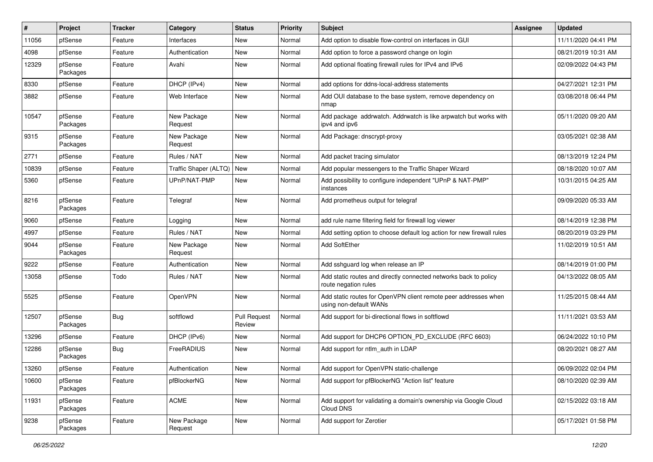| ∦     | Project             | <b>Tracker</b> | Category               | <b>Status</b>                 | <b>Priority</b> | <b>Subject</b>                                                                            | <b>Assignee</b> | <b>Updated</b>      |
|-------|---------------------|----------------|------------------------|-------------------------------|-----------------|-------------------------------------------------------------------------------------------|-----------------|---------------------|
| 11056 | pfSense             | Feature        | Interfaces             | New                           | Normal          | Add option to disable flow-control on interfaces in GUI                                   |                 | 11/11/2020 04:41 PM |
| 4098  | pfSense             | Feature        | Authentication         | <b>New</b>                    | Normal          | Add option to force a password change on login                                            |                 | 08/21/2019 10:31 AM |
| 12329 | pfSense<br>Packages | Feature        | Avahi                  | New                           | Normal          | Add optional floating firewall rules for IPv4 and IPv6                                    |                 | 02/09/2022 04:43 PM |
| 8330  | pfSense             | Feature        | DHCP (IPv4)            | New                           | Normal          | add options for ddns-local-address statements                                             |                 | 04/27/2021 12:31 PM |
| 3882  | pfSense             | Feature        | Web Interface          | New                           | Normal          | Add OUI database to the base system, remove dependency on<br>nmap                         |                 | 03/08/2018 06:44 PM |
| 10547 | pfSense<br>Packages | Feature        | New Package<br>Request | New                           | Normal          | Add package addrwatch. Addrwatch is like arpwatch but works with<br>ipv4 and ipv6         |                 | 05/11/2020 09:20 AM |
| 9315  | pfSense<br>Packages | Feature        | New Package<br>Request | New                           | Normal          | Add Package: dnscrypt-proxy                                                               |                 | 03/05/2021 02:38 AM |
| 2771  | pfSense             | Feature        | Rules / NAT            | <b>New</b>                    | Normal          | Add packet tracing simulator                                                              |                 | 08/13/2019 12:24 PM |
| 10839 | pfSense             | Feature        | Traffic Shaper (ALTQ)  | New                           | Normal          | Add popular messengers to the Traffic Shaper Wizard                                       |                 | 08/18/2020 10:07 AM |
| 5360  | pfSense             | Feature        | UPnP/NAT-PMP           | New                           | Normal          | Add possibility to configure independent "UPnP & NAT-PMP"<br>instances                    |                 | 10/31/2015 04:25 AM |
| 8216  | pfSense<br>Packages | Feature        | Telegraf               | New                           | Normal          | Add prometheus output for telegraf                                                        |                 | 09/09/2020 05:33 AM |
| 9060  | pfSense             | Feature        | Logging                | New                           | Normal          | add rule name filtering field for firewall log viewer                                     |                 | 08/14/2019 12:38 PM |
| 4997  | pfSense             | Feature        | Rules / NAT            | New                           | Normal          | Add setting option to choose default log action for new firewall rules                    |                 | 08/20/2019 03:29 PM |
| 9044  | pfSense<br>Packages | Feature        | New Package<br>Request | New                           | Normal          | Add SoftEther                                                                             |                 | 11/02/2019 10:51 AM |
| 9222  | pfSense             | Feature        | Authentication         | New                           | Normal          | Add sshguard log when release an IP                                                       |                 | 08/14/2019 01:00 PM |
| 13058 | pfSense             | Todo           | Rules / NAT            | New                           | Normal          | Add static routes and directly connected networks back to policy<br>route negation rules  |                 | 04/13/2022 08:05 AM |
| 5525  | pfSense             | Feature        | OpenVPN                | New                           | Normal          | Add static routes for OpenVPN client remote peer addresses when<br>using non-default WANs |                 | 11/25/2015 08:44 AM |
| 12507 | pfSense<br>Packages | <b>Bug</b>     | softflowd              | <b>Pull Request</b><br>Review | Normal          | Add support for bi-directional flows in softflowd                                         |                 | 11/11/2021 03:53 AM |
| 13296 | pfSense             | Feature        | DHCP (IPv6)            | New                           | Normal          | Add support for DHCP6 OPTION PD EXCLUDE (RFC 6603)                                        |                 | 06/24/2022 10:10 PM |
| 12286 | pfSense<br>Packages | Bug            | FreeRADIUS             | New                           | Normal          | Add support for ntlm auth in LDAP                                                         |                 | 08/20/2021 08:27 AM |
| 13260 | pfSense             | Feature        | Authentication         | New                           | Normal          | Add support for OpenVPN static-challenge                                                  |                 | 06/09/2022 02:04 PM |
| 10600 | pfSense<br>Packages | Feature        | pfBlockerNG            | New                           | Normal          | Add support for pfBlockerNG "Action list" feature                                         |                 | 08/10/2020 02:39 AM |
| 11931 | pfSense<br>Packages | Feature        | <b>ACME</b>            | New                           | Normal          | Add support for validating a domain's ownership via Google Cloud<br>Cloud DNS             |                 | 02/15/2022 03:18 AM |
| 9238  | pfSense<br>Packages | Feature        | New Package<br>Request | New                           | Normal          | Add support for Zerotier                                                                  |                 | 05/17/2021 01:58 PM |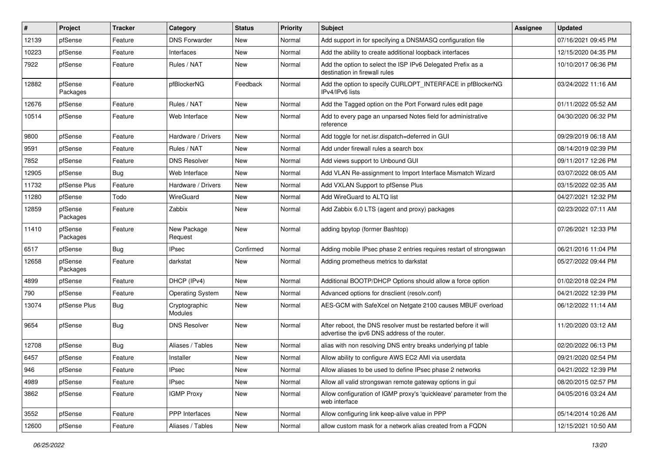| #     | Project             | <b>Tracker</b> | Category                 | <b>Status</b> | <b>Priority</b> | <b>Subject</b>                                                                                                   | <b>Assignee</b> | <b>Updated</b>      |
|-------|---------------------|----------------|--------------------------|---------------|-----------------|------------------------------------------------------------------------------------------------------------------|-----------------|---------------------|
| 12139 | pfSense             | Feature        | <b>DNS Forwarder</b>     | New           | Normal          | Add support in for specifying a DNSMASQ configuration file                                                       |                 | 07/16/2021 09:45 PM |
| 10223 | pfSense             | Feature        | Interfaces               | <b>New</b>    | Normal          | Add the ability to create additional loopback interfaces                                                         |                 | 12/15/2020 04:35 PM |
| 7922  | pfSense             | Feature        | Rules / NAT              | New           | Normal          | Add the option to select the ISP IPv6 Delegated Prefix as a<br>destination in firewall rules                     |                 | 10/10/2017 06:36 PM |
| 12882 | pfSense<br>Packages | Feature        | pfBlockerNG              | Feedback      | Normal          | Add the option to specify CURLOPT_INTERFACE in pfBlockerNG<br>IPv4/IPv6 lists                                    |                 | 03/24/2022 11:16 AM |
| 12676 | pfSense             | Feature        | Rules / NAT              | New           | Normal          | Add the Tagged option on the Port Forward rules edit page                                                        |                 | 01/11/2022 05:52 AM |
| 10514 | pfSense             | Feature        | Web Interface            | <b>New</b>    | Normal          | Add to every page an unparsed Notes field for administrative<br>reference                                        |                 | 04/30/2020 06:32 PM |
| 9800  | pfSense             | Feature        | Hardware / Drivers       | <b>New</b>    | Normal          | Add toggle for net.isr.dispatch=deferred in GUI                                                                  |                 | 09/29/2019 06:18 AM |
| 9591  | pfSense             | Feature        | Rules / NAT              | New           | Normal          | Add under firewall rules a search box                                                                            |                 | 08/14/2019 02:39 PM |
| 7852  | pfSense             | Feature        | <b>DNS Resolver</b>      | <b>New</b>    | Normal          | Add views support to Unbound GUI                                                                                 |                 | 09/11/2017 12:26 PM |
| 12905 | pfSense             | <b>Bug</b>     | Web Interface            | <b>New</b>    | Normal          | Add VLAN Re-assignment to Import Interface Mismatch Wizard                                                       |                 | 03/07/2022 08:05 AM |
| 11732 | pfSense Plus        | Feature        | Hardware / Drivers       | New           | Normal          | Add VXLAN Support to pfSense Plus                                                                                |                 | 03/15/2022 02:35 AM |
| 11280 | pfSense             | Todo           | <b>WireGuard</b>         | New           | Normal          | Add WireGuard to ALTQ list                                                                                       |                 | 04/27/2021 12:32 PM |
| 12859 | pfSense<br>Packages | Feature        | Zabbix                   | <b>New</b>    | Normal          | Add Zabbix 6.0 LTS (agent and proxy) packages                                                                    |                 | 02/23/2022 07:11 AM |
| 11410 | pfSense<br>Packages | Feature        | New Package<br>Request   | <b>New</b>    | Normal          | adding bpytop (former Bashtop)                                                                                   |                 | 07/26/2021 12:33 PM |
| 6517  | pfSense             | Bug            | <b>IPsec</b>             | Confirmed     | Normal          | Adding mobile IPsec phase 2 entries requires restart of strongswan                                               |                 | 06/21/2016 11:04 PM |
| 12658 | pfSense<br>Packages | Feature        | darkstat                 | New           | Normal          | Adding prometheus metrics to darkstat                                                                            |                 | 05/27/2022 09:44 PM |
| 4899  | pfSense             | Feature        | DHCP (IPv4)              | <b>New</b>    | Normal          | Additional BOOTP/DHCP Options should allow a force option                                                        |                 | 01/02/2018 02:24 PM |
| 790   | pfSense             | Feature        | <b>Operating System</b>  | <b>New</b>    | Normal          | Advanced options for dnsclient (resolv.conf)                                                                     |                 | 04/21/2022 12:39 PM |
| 13074 | pfSense Plus        | <b>Bug</b>     | Cryptographic<br>Modules | New           | Normal          | AES-GCM with SafeXcel on Netgate 2100 causes MBUF overload                                                       |                 | 06/12/2022 11:14 AM |
| 9654  | pfSense             | Bug            | <b>DNS Resolver</b>      | <b>New</b>    | Normal          | After reboot, the DNS resolver must be restarted before it will<br>advertise the ipv6 DNS address of the router. |                 | 11/20/2020 03:12 AM |
| 12708 | pfSense             | Bug            | Aliases / Tables         | <b>New</b>    | Normal          | alias with non resolving DNS entry breaks underlying pf table                                                    |                 | 02/20/2022 06:13 PM |
| 6457  | pfSense             | Feature        | Installer                | New           | Normal          | Allow ability to configure AWS EC2 AMI via userdata                                                              |                 | 09/21/2020 02:54 PM |
| 946   | pfSense             | Feature        | <b>IPsec</b>             | New           | Normal          | Allow aliases to be used to define IPsec phase 2 networks                                                        |                 | 04/21/2022 12:39 PM |
| 4989  | pfSense             | Feature        | <b>IPsec</b>             | New           | Normal          | Allow all valid strongswan remote gateway options in gui                                                         |                 | 08/20/2015 02:57 PM |
| 3862  | pfSense             | Feature        | <b>IGMP Proxy</b>        | New           | Normal          | Allow configuration of IGMP proxy's 'quickleave' parameter from the<br>web interface                             |                 | 04/05/2016 03:24 AM |
| 3552  | pfSense             | Feature        | <b>PPP</b> Interfaces    | New           | Normal          | Allow configuring link keep-alive value in PPP                                                                   |                 | 05/14/2014 10:26 AM |
| 12600 | pfSense             | Feature        | Aliases / Tables         | New           | Normal          | allow custom mask for a network alias created from a FQDN                                                        |                 | 12/15/2021 10:50 AM |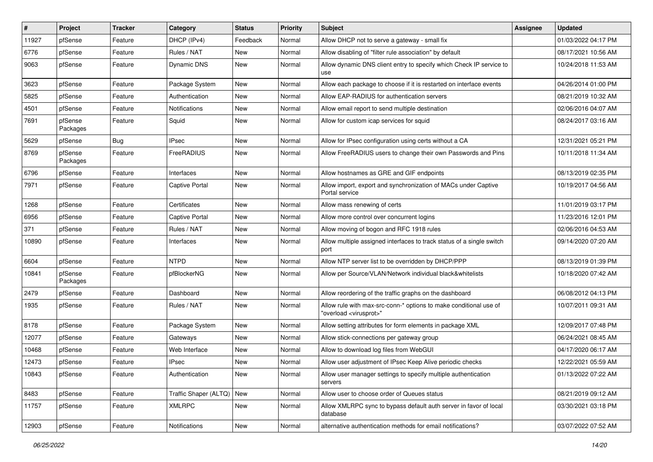| $\vert$ # | Project             | <b>Tracker</b> | Category                  | <b>Status</b> | <b>Priority</b> | Subject                                                                                                 | <b>Assignee</b> | <b>Updated</b>      |
|-----------|---------------------|----------------|---------------------------|---------------|-----------------|---------------------------------------------------------------------------------------------------------|-----------------|---------------------|
| 11927     | pfSense             | Feature        | DHCP (IPv4)               | Feedback      | Normal          | Allow DHCP not to serve a gateway - small fix                                                           |                 | 01/03/2022 04:17 PM |
| 6776      | pfSense             | Feature        | Rules / NAT               | <b>New</b>    | Normal          | Allow disabling of "filter rule association" by default                                                 |                 | 08/17/2021 10:56 AM |
| 9063      | pfSense             | Feature        | Dynamic DNS               | New           | Normal          | Allow dynamic DNS client entry to specify which Check IP service to<br>use                              |                 | 10/24/2018 11:53 AM |
| 3623      | pfSense             | Feature        | Package System            | <b>New</b>    | Normal          | Allow each package to choose if it is restarted on interface events                                     |                 | 04/26/2014 01:00 PM |
| 5825      | pfSense             | Feature        | Authentication            | New           | Normal          | Allow EAP-RADIUS for authentication servers                                                             |                 | 08/21/2019 10:32 AM |
| 4501      | pfSense             | Feature        | Notifications             | New           | Normal          | Allow email report to send multiple destination                                                         |                 | 02/06/2016 04:07 AM |
| 7691      | pfSense<br>Packages | Feature        | Squid                     | <b>New</b>    | Normal          | Allow for custom icap services for squid                                                                |                 | 08/24/2017 03:16 AM |
| 5629      | pfSense             | Bug            | <b>IPsec</b>              | New           | Normal          | Allow for IPsec configuration using certs without a CA                                                  |                 | 12/31/2021 05:21 PM |
| 8769      | pfSense<br>Packages | Feature        | FreeRADIUS                | New           | Normal          | Allow FreeRADIUS users to change their own Passwords and Pins                                           |                 | 10/11/2018 11:34 AM |
| 6796      | pfSense             | Feature        | Interfaces                | New           | Normal          | Allow hostnames as GRE and GIF endpoints                                                                |                 | 08/13/2019 02:35 PM |
| 7971      | pfSense             | Feature        | <b>Captive Portal</b>     | New           | Normal          | Allow import, export and synchronization of MACs under Captive<br>Portal service                        |                 | 10/19/2017 04:56 AM |
| 1268      | pfSense             | Feature        | Certificates              | <b>New</b>    | Normal          | Allow mass renewing of certs                                                                            |                 | 11/01/2019 03:17 PM |
| 6956      | pfSense             | Feature        | <b>Captive Portal</b>     | New           | Normal          | Allow more control over concurrent logins                                                               |                 | 11/23/2016 12:01 PM |
| 371       | pfSense             | Feature        | Rules / NAT               | New           | Normal          | Allow moving of bogon and RFC 1918 rules                                                                |                 | 02/06/2016 04:53 AM |
| 10890     | pfSense             | Feature        | Interfaces                | New           | Normal          | Allow multiple assigned interfaces to track status of a single switch<br>port                           |                 | 09/14/2020 07:20 AM |
| 6604      | pfSense             | Feature        | <b>NTPD</b>               | <b>New</b>    | Normal          | Allow NTP server list to be overridden by DHCP/PPP                                                      |                 | 08/13/2019 01:39 PM |
| 10841     | pfSense<br>Packages | Feature        | pfBlockerNG               | New           | Normal          | Allow per Source/VLAN/Network individual black&whitelists                                               |                 | 10/18/2020 07:42 AM |
| 2479      | pfSense             | Feature        | Dashboard                 | <b>New</b>    | Normal          | Allow reordering of the traffic graphs on the dashboard                                                 |                 | 06/08/2012 04:13 PM |
| 1935      | pfSense             | Feature        | Rules / NAT               | New           | Normal          | Allow rule with max-src-conn-* options to make conditional use of<br>'overload <virusprot>"</virusprot> |                 | 10/07/2011 09:31 AM |
| 8178      | pfSense             | Feature        | Package System            | <b>New</b>    | Normal          | Allow setting attributes for form elements in package XML                                               |                 | 12/09/2017 07:48 PM |
| 12077     | pfSense             | Feature        | Gateways                  | New           | Normal          | Allow stick-connections per gateway group                                                               |                 | 06/24/2021 08:45 AM |
| 10468     | pfSense             | Feature        | Web Interface             | New           | Normal          | Allow to download log files from WebGUI                                                                 |                 | 04/17/2020 06:17 AM |
| 12473     | pfSense             | Feature        | <b>IPsec</b>              | New           | Normal          | Allow user adjustment of IPsec Keep Alive periodic checks                                               |                 | 12/22/2021 05:59 AM |
| 10843     | pfSense             | Feature        | Authentication            | New           | Normal          | Allow user manager settings to specify multiple authentication<br>servers                               |                 | 01/13/2022 07:22 AM |
| 8483      | pfSense             | Feature        | Traffic Shaper (ALTQ) New |               | Normal          | Allow user to choose order of Queues status                                                             |                 | 08/21/2019 09:12 AM |
| 11757     | pfSense             | Feature        | <b>XMLRPC</b>             | New           | Normal          | Allow XMLRPC sync to bypass default auth server in favor of local<br>database                           |                 | 03/30/2021 03:18 PM |
| 12903     | pfSense             | Feature        | Notifications             | New           | Normal          | alternative authentication methods for email notifications?                                             |                 | 03/07/2022 07:52 AM |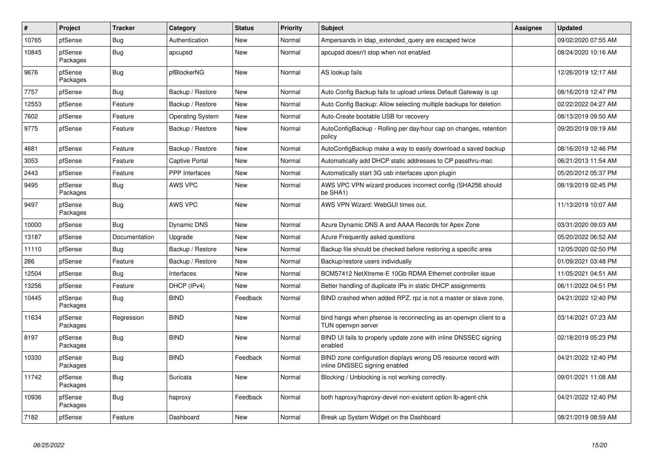| #     | Project             | <b>Tracker</b> | Category                | <b>Status</b> | Priority | <b>Subject</b>                                                                                  | Assignee | <b>Updated</b>      |
|-------|---------------------|----------------|-------------------------|---------------|----------|-------------------------------------------------------------------------------------------------|----------|---------------------|
| 10765 | pfSense             | <b>Bug</b>     | Authentication          | <b>New</b>    | Normal   | Ampersands in Idap extended query are escaped twice                                             |          | 09/02/2020 07:55 AM |
| 10845 | pfSense<br>Packages | <b>Bug</b>     | apcupsd                 | <b>New</b>    | Normal   | apcupsd doesn't stop when not enabled                                                           |          | 08/24/2020 10:16 AM |
| 9676  | pfSense<br>Packages | <b>Bug</b>     | pfBlockerNG             | <b>New</b>    | Normal   | AS lookup fails                                                                                 |          | 12/26/2019 12:17 AM |
| 7757  | pfSense             | Bug            | Backup / Restore        | <b>New</b>    | Normal   | Auto Config Backup fails to upload unless Default Gateway is up                                 |          | 08/16/2019 12:47 PM |
| 12553 | pfSense             | Feature        | Backup / Restore        | <b>New</b>    | Normal   | Auto Config Backup: Allow selecting multiple backups for deletion                               |          | 02/22/2022 04:27 AM |
| 7602  | pfSense             | Feature        | <b>Operating System</b> | <b>New</b>    | Normal   | Auto-Create bootable USB for recovery                                                           |          | 08/13/2019 09:50 AM |
| 9775  | pfSense             | Feature        | Backup / Restore        | <b>New</b>    | Normal   | AutoConfigBackup - Rolling per day/hour cap on changes, retention<br>policy                     |          | 09/20/2019 09:19 AM |
| 4681  | pfSense             | Feature        | Backup / Restore        | <b>New</b>    | Normal   | AutoConfigBackup make a way to easily download a saved backup                                   |          | 08/16/2019 12:46 PM |
| 3053  | pfSense             | Feature        | <b>Captive Portal</b>   | <b>New</b>    | Normal   | Automatically add DHCP static addresses to CP passthru-mac                                      |          | 06/21/2013 11:54 AM |
| 2443  | pfSense             | Feature        | <b>PPP</b> Interfaces   | New           | Normal   | Automatically start 3G usb interfaces upon plugin                                               |          | 05/20/2012 05:37 PM |
| 9495  | pfSense<br>Packages | <b>Bug</b>     | AWS VPC                 | <b>New</b>    | Normal   | AWS VPC VPN wizard produces incorrect config (SHA256 should<br>be SHA1)                         |          | 08/19/2019 02:45 PM |
| 9497  | pfSense<br>Packages | Bug            | AWS VPC                 | New           | Normal   | AWS VPN Wizard: WebGUI times out.                                                               |          | 11/13/2019 10:07 AM |
| 10000 | pfSense             | Bug            | <b>Dynamic DNS</b>      | <b>New</b>    | Normal   | Azure Dynamic DNS A and AAAA Records for Apex Zone                                              |          | 03/31/2020 09:03 AM |
| 13187 | pfSense             | Documentation  | Upgrade                 | <b>New</b>    | Normal   | Azure Frequently asked questions                                                                |          | 05/20/2022 06:52 AM |
| 11110 | pfSense             | Bug            | Backup / Restore        | <b>New</b>    | Normal   | Backup file should be checked before restoring a specific area                                  |          | 12/05/2020 02:50 PM |
| 286   | pfSense             | Feature        | Backup / Restore        | <b>New</b>    | Normal   | Backup/restore users individually                                                               |          | 01/09/2021 03:48 PM |
| 12504 | pfSense             | <b>Bug</b>     | Interfaces              | <b>New</b>    | Normal   | BCM57412 NetXtreme-E 10Gb RDMA Ethernet controller issue                                        |          | 11/05/2021 04:51 AM |
| 13256 | pfSense             | Feature        | DHCP (IPv4)             | New           | Normal   | Better handling of duplicate IPs in static DHCP assignments                                     |          | 06/11/2022 04:51 PM |
| 10445 | pfSense<br>Packages | <b>Bug</b>     | <b>BIND</b>             | Feedback      | Normal   | BIND crashed when added RPZ. rpz is not a master or slave zone.                                 |          | 04/21/2022 12:40 PM |
| 11634 | pfSense<br>Packages | Regression     | <b>BIND</b>             | New           | Normal   | bind hangs when pfsense is reconnecting as an openypn client to a<br>TUN openvpn server         |          | 03/14/2021 07:23 AM |
| 8197  | pfSense<br>Packages | <b>Bug</b>     | <b>BIND</b>             | <b>New</b>    | Normal   | BIND UI fails to properly update zone with inline DNSSEC signing<br>enabled                     |          | 02/18/2019 05:23 PM |
| 10330 | pfSense<br>Packages | <b>Bug</b>     | <b>BIND</b>             | Feedback      | Normal   | BIND zone configuration displays wrong DS resource record with<br>inline DNSSEC signing enabled |          | 04/21/2022 12:40 PM |
| 11742 | pfSense<br>Packages | <b>Bug</b>     | Suricata                | <b>New</b>    | Normal   | Blocking / Unblocking is not working correctly.                                                 |          | 09/01/2021 11:08 AM |
| 10936 | pfSense<br>Packages | <b>Bug</b>     | haproxy                 | Feedback      | Normal   | both haproxy/haproxy-devel non-existent option lb-agent-chk                                     |          | 04/21/2022 12:40 PM |
| 7182  | pfSense             | Feature        | Dashboard               | New           | Normal   | Break up System Widget on the Dashboard                                                         |          | 08/21/2019 08:59 AM |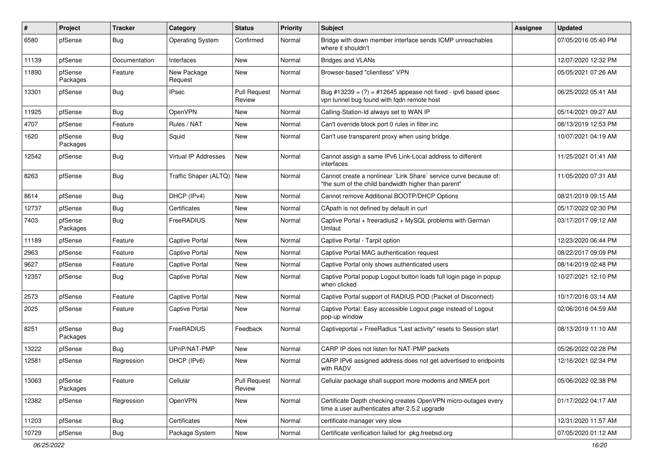| #     | Project             | <b>Tracker</b> | Category                    | <b>Status</b>                 | <b>Priority</b> | Subject                                                                                                                 | Assignee | <b>Updated</b>      |
|-------|---------------------|----------------|-----------------------------|-------------------------------|-----------------|-------------------------------------------------------------------------------------------------------------------------|----------|---------------------|
| 6580  | pfSense             | <b>Bug</b>     | <b>Operating System</b>     | Confirmed                     | Normal          | Bridge with down member interface sends ICMP unreachables<br>where it shouldn't                                         |          | 07/05/2016 05:40 PM |
| 11139 | pfSense             | Documentation  | Interfaces                  | <b>New</b>                    | Normal          | <b>Bridges and VLANs</b>                                                                                                |          | 12/07/2020 12:32 PM |
| 11890 | pfSense<br>Packages | Feature        | New Package<br>Request      | New                           | Normal          | Browser-based "clientless" VPN                                                                                          |          | 05/05/2021 07:26 AM |
| 13301 | pfSense             | Bug            | <b>IPsec</b>                | <b>Pull Request</b><br>Review | Normal          | Bug #13239 = $(?)$ = #12645 appease not fixed - ipv6 based ipsec<br>vpn tunnel bug found with fqdn remote host          |          | 06/25/2022 05:41 AM |
| 11925 | pfSense             | <b>Bug</b>     | OpenVPN                     | <b>New</b>                    | Normal          | Calling-Station-Id always set to WAN IP                                                                                 |          | 05/14/2021 09:27 AM |
| 4707  | pfSense             | Feature        | Rules / NAT                 | <b>New</b>                    | Normal          | Can't override block port 0 rules in filter.inc                                                                         |          | 08/13/2019 12:53 PM |
| 1620  | pfSense<br>Packages | Bug            | Squid                       | New                           | Normal          | Can't use transparent proxy when using bridge.                                                                          |          | 10/07/2021 04:19 AM |
| 12542 | pfSense             | Bug            | Virtual IP Addresses        | New                           | Normal          | Cannot assign a same IPv6 Link-Local address to different<br>interfaces                                                 |          | 11/25/2021 01:41 AM |
| 8263  | pfSense             | Bug            | Traffic Shaper (ALTQ)   New |                               | Normal          | Cannot create a nonlinear 'Link Share' service curve because of:<br>"the sum of the child bandwidth higher than parent" |          | 11/05/2020 07:31 AM |
| 8614  | pfSense             | Bug            | DHCP (IPv4)                 | <b>New</b>                    | Normal          | Cannot remove Additional BOOTP/DHCP Options                                                                             |          | 08/21/2019 09:15 AM |
| 12737 | pfSense             | Bug            | Certificates                | <b>New</b>                    | Normal          | CApath is not defined by default in curl                                                                                |          | 05/17/2022 02:30 PM |
| 7403  | pfSense<br>Packages | Bug            | FreeRADIUS                  | New                           | Normal          | Captive Portal + freeradius2 + MySQL problems with German<br>Umlaut                                                     |          | 03/17/2017 09:12 AM |
| 11189 | pfSense             | Feature        | <b>Captive Portal</b>       | <b>New</b>                    | Normal          | Captive Portal - Tarpit option                                                                                          |          | 12/23/2020 06:44 PM |
| 2963  | pfSense             | Feature        | <b>Captive Portal</b>       | <b>New</b>                    | Normal          | Captive Portal MAC authentication request                                                                               |          | 08/22/2017 09:09 PM |
| 9627  | pfSense             | Feature        | <b>Captive Portal</b>       | New                           | Normal          | Captive Portal only shows authenticated users                                                                           |          | 08/14/2019 02:48 PM |
| 12357 | pfSense             | Bug            | <b>Captive Portal</b>       | New                           | Normal          | Captive Portal popup Logout button loads full login page in popup<br>when clicked                                       |          | 10/27/2021 12:10 PM |
| 2573  | pfSense             | Feature        | <b>Captive Portal</b>       | New                           | Normal          | Captive Portal support of RADIUS POD (Packet of Disconnect)                                                             |          | 10/17/2016 03:14 AM |
| 2025  | pfSense             | Feature        | <b>Captive Portal</b>       | New                           | Normal          | Captive Portal: Easy accessible Logout page instead of Logout<br>pop-up window                                          |          | 02/06/2016 04:59 AM |
| 8251  | pfSense<br>Packages | Bug            | FreeRADIUS                  | Feedback                      | Normal          | Captiveportal + FreeRadius "Last activity" resets to Session start                                                      |          | 08/13/2019 11:10 AM |
| 13222 | pfSense             | Bug            | UPnP/NAT-PMP                | <b>New</b>                    | Normal          | CARP IP does not listen for NAT-PMP packets                                                                             |          | 05/26/2022 02:28 PM |
| 12581 | pfSense             | Regression     | DHCP (IPv6)                 | New                           | Normal          | CARP IPv6 assigned address does not get advertised to endpoints<br>with RADV                                            |          | 12/16/2021 02:34 PM |
| 13063 | pfSense<br>Packages | Feature        | Cellular                    | <b>Pull Request</b><br>Review | Normal          | Cellular package shall support more modems and NMEA port                                                                |          | 05/06/2022 02:38 PM |
| 12382 | pfSense             | Regression     | OpenVPN                     | New                           | Normal          | Certificate Depth checking creates OpenVPN micro-outages every<br>time a user authenticates after 2.5.2 upgrade         |          | 01/17/2022 04:17 AM |
| 11203 | pfSense             | <b>Bug</b>     | Certificates                | New                           | Normal          | certificate manager very slow                                                                                           |          | 12/31/2020 11:57 AM |
| 10729 | pfSense             | <b>Bug</b>     | Package System              | New                           | Normal          | Certificate verification failed for pkg.freebsd.org                                                                     |          | 07/05/2020 01:12 AM |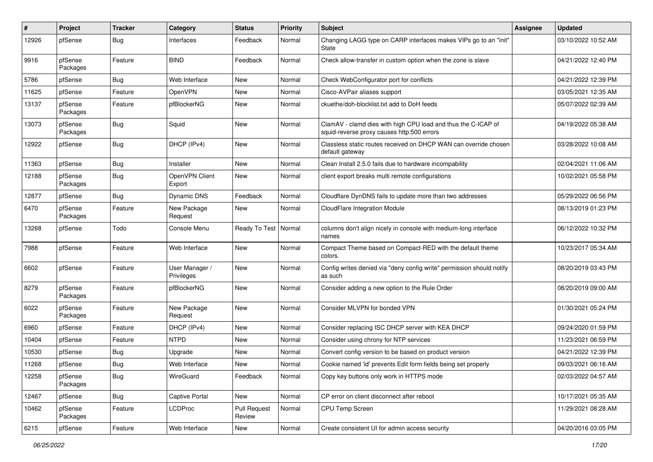| ∦     | Project             | <b>Tracker</b> | Category                     | <b>Status</b>                 | <b>Priority</b> | <b>Subject</b>                                                                                              | Assignee | <b>Updated</b>      |
|-------|---------------------|----------------|------------------------------|-------------------------------|-----------------|-------------------------------------------------------------------------------------------------------------|----------|---------------------|
| 12926 | pfSense             | Bug            | Interfaces                   | Feedback                      | Normal          | Changing LAGG type on CARP interfaces makes VIPs go to an "init"<br><b>State</b>                            |          | 03/10/2022 10:52 AM |
| 9916  | pfSense<br>Packages | Feature        | <b>BIND</b>                  | Feedback                      | Normal          | Check allow-transfer in custom option when the zone is slave                                                |          | 04/21/2022 12:40 PM |
| 5786  | pfSense             | Bug            | Web Interface                | <b>New</b>                    | Normal          | Check WebConfigurator port for conflicts                                                                    |          | 04/21/2022 12:39 PM |
| 11625 | pfSense             | Feature        | OpenVPN                      | <b>New</b>                    | Normal          | Cisco-AVPair aliases support                                                                                |          | 03/05/2021 12:35 AM |
| 13137 | pfSense<br>Packages | Feature        | pfBlockerNG                  | <b>New</b>                    | Normal          | ckuethe/doh-blocklist.txt add to DoH feeds                                                                  |          | 05/07/2022 02:39 AM |
| 13073 | pfSense<br>Packages | <b>Bug</b>     | Squid                        | <b>New</b>                    | Normal          | ClamAV - clamd dies with high CPU load and thus the C-ICAP of<br>squid-reverse proxy causes http:500 errors |          | 04/19/2022 05:38 AM |
| 12922 | pfSense             | <b>Bug</b>     | DHCP (IPv4)                  | <b>New</b>                    | Normal          | Classless static routes received on DHCP WAN can override chosen<br>default gateway                         |          | 03/28/2022 10:08 AM |
| 11363 | pfSense             | <b>Bug</b>     | Installer                    | <b>New</b>                    | Normal          | Clean Install 2.5.0 fails due to hardware incompability                                                     |          | 02/04/2021 11:06 AM |
| 12188 | pfSense<br>Packages | <b>Bug</b>     | OpenVPN Client<br>Export     | <b>New</b>                    | Normal          | client export breaks multi remote configurations                                                            |          | 10/02/2021 05:58 PM |
| 12877 | pfSense             | <b>Bug</b>     | Dynamic DNS                  | Feedback                      | Normal          | Cloudflare DynDNS fails to update more than two addresses                                                   |          | 05/29/2022 06:56 PM |
| 6470  | pfSense<br>Packages | Feature        | New Package<br>Request       | New                           | Normal          | <b>CloudFlare Integration Module</b>                                                                        |          | 08/13/2019 01:23 PM |
| 13268 | pfSense             | Todo           | Console Menu                 | Ready To Test   Normal        |                 | columns don't align nicely in console with medium-long interface<br>names                                   |          | 06/12/2022 10:32 PM |
| 7988  | pfSense             | Feature        | Web Interface                | <b>New</b>                    | Normal          | Compact Theme based on Compact-RED with the default theme<br>colors.                                        |          | 10/23/2017 05:34 AM |
| 6602  | pfSense             | Feature        | User Manager /<br>Privileges | <b>New</b>                    | Normal          | Config writes denied via "deny config write" permission should notify<br>as such                            |          | 08/20/2019 03:43 PM |
| 8279  | pfSense<br>Packages | Feature        | pfBlockerNG                  | <b>New</b>                    | Normal          | Consider adding a new option to the Rule Order                                                              |          | 08/20/2019 09:00 AM |
| 6022  | pfSense<br>Packages | Feature        | New Package<br>Request       | <b>New</b>                    | Normal          | Consider MLVPN for bonded VPN                                                                               |          | 01/30/2021 05:24 PM |
| 6960  | pfSense             | Feature        | DHCP (IPv4)                  | New                           | Normal          | Consider replacing ISC DHCP server with KEA DHCP                                                            |          | 09/24/2020 01:59 PM |
| 10404 | pfSense             | Feature        | <b>NTPD</b>                  | <b>New</b>                    | Normal          | Consider using chrony for NTP services                                                                      |          | 11/23/2021 06:59 PM |
| 10530 | pfSense             | Bug            | Upgrade                      | New                           | Normal          | Convert config version to be based on product version                                                       |          | 04/21/2022 12:39 PM |
| 11268 | pfSense             | <b>Bug</b>     | Web Interface                | <b>New</b>                    | Normal          | Cookie named 'id' prevents Edit form fields being set properly                                              |          | 09/03/2021 06:16 AM |
| 12258 | pfSense<br>Packages | <b>Bug</b>     | WireGuard                    | Feedback                      | Normal          | Copy key buttons only work in HTTPS mode                                                                    |          | 02/03/2022 04:57 AM |
| 12467 | pfSense             | Bug            | Captive Portal               | New                           | Normal          | CP error on client disconnect after reboot                                                                  |          | 10/17/2021 05:35 AM |
| 10462 | pfSense<br>Packages | Feature        | <b>LCDProc</b>               | <b>Pull Request</b><br>Review | Normal          | CPU Temp Screen                                                                                             |          | 11/29/2021 08:28 AM |
| 6215  | pfSense             | Feature        | Web Interface                | New                           | Normal          | Create consistent UI for admin access security                                                              |          | 04/20/2016 03:05 PM |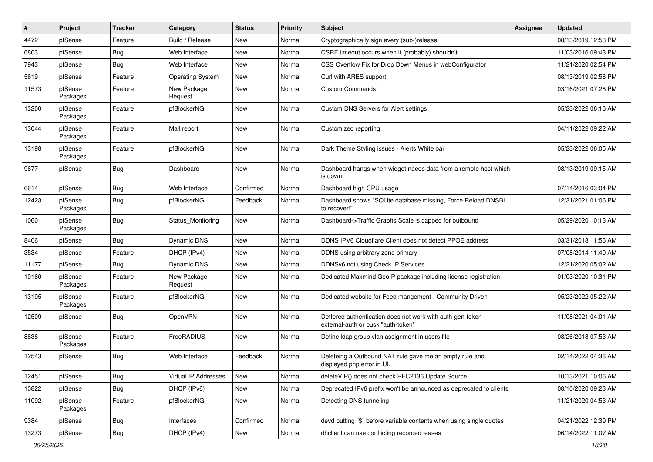| $\vert$ # | Project             | <b>Tracker</b> | Category                | <b>Status</b> | <b>Priority</b> | Subject                                                                                         | Assignee | <b>Updated</b>      |
|-----------|---------------------|----------------|-------------------------|---------------|-----------------|-------------------------------------------------------------------------------------------------|----------|---------------------|
| 4472      | pfSense             | Feature        | Build / Release         | New           | Normal          | Cryptographically sign every (sub-)release                                                      |          | 08/13/2019 12:53 PM |
| 6803      | pfSense             | Bug            | Web Interface           | <b>New</b>    | Normal          | CSRF timeout occurs when it (probably) shouldn't                                                |          | 11/03/2016 09:43 PM |
| 7943      | pfSense             | Bug            | Web Interface           | New           | Normal          | CSS Overflow Fix for Drop Down Menus in webConfigurator                                         |          | 11/21/2020 02:54 PM |
| 5619      | pfSense             | Feature        | <b>Operating System</b> | <b>New</b>    | Normal          | Curl with ARES support                                                                          |          | 08/13/2019 02:56 PM |
| 11573     | pfSense<br>Packages | Feature        | New Package<br>Request  | New           | Normal          | <b>Custom Commands</b>                                                                          |          | 03/16/2021 07:28 PM |
| 13200     | pfSense<br>Packages | Feature        | pfBlockerNG             | New           | Normal          | Custom DNS Servers for Alert settings                                                           |          | 05/23/2022 06:16 AM |
| 13044     | pfSense<br>Packages | Feature        | Mail report             | <b>New</b>    | Normal          | Customized reporting                                                                            |          | 04/11/2022 09:22 AM |
| 13198     | pfSense<br>Packages | Feature        | pfBlockerNG             | New           | Normal          | Dark Theme Styling issues - Alerts White bar                                                    |          | 05/23/2022 06:05 AM |
| 9677      | pfSense             | <b>Bug</b>     | Dashboard               | New           | Normal          | Dashboard hangs when widget needs data from a remote host which<br>is down                      |          | 08/13/2019 09:15 AM |
| 6614      | pfSense             | <b>Bug</b>     | Web Interface           | Confirmed     | Normal          | Dashboard high CPU usage                                                                        |          | 07/14/2016 03:04 PM |
| 12423     | pfSense<br>Packages | Bug            | pfBlockerNG             | Feedback      | Normal          | Dashboard shows "SQLite database missing, Force Reload DNSBL<br>to recover!"                    |          | 12/31/2021 01:06 PM |
| 10601     | pfSense<br>Packages | Bug            | Status Monitoring       | New           | Normal          | Dashboard->Traffic Graphs Scale is capped for outbound                                          |          | 05/29/2020 10:13 AM |
| 8406      | pfSense             | Bug            | <b>Dynamic DNS</b>      | <b>New</b>    | Normal          | DDNS IPV6 Cloudflare Client does not detect PPOE address                                        |          | 03/31/2018 11:56 AM |
| 3534      | pfSense             | Feature        | DHCP (IPv4)             | <b>New</b>    | Normal          | DDNS using arbitrary zone primary                                                               |          | 07/08/2014 11:40 AM |
| 11177     | pfSense             | Bug            | Dynamic DNS             | New           | Normal          | DDNSv6 not using Check IP Services                                                              |          | 12/21/2020 05:02 AM |
| 10160     | pfSense<br>Packages | Feature        | New Package<br>Request  | New           | Normal          | Dedicated Maxmind GeoIP package including license registration                                  |          | 01/03/2020 10:31 PM |
| 13195     | pfSense<br>Packages | Feature        | pfBlockerNG             | New           | Normal          | Dedicated website for Feed mangement - Community Driven                                         |          | 05/23/2022 05:22 AM |
| 12509     | pfSense             | <b>Bug</b>     | OpenVPN                 | New           | Normal          | Deffered authentication does not work with auth-gen-token<br>external-auth or pusk "auth-token" |          | 11/08/2021 04:01 AM |
| 8836      | pfSense<br>Packages | Feature        | FreeRADIUS              | New           | Normal          | Define Idap group vlan assignment in users file                                                 |          | 08/26/2018 07:53 AM |
| 12543     | pfSense             | <b>Bug</b>     | Web Interface           | Feedback      | Normal          | Deleteing a Outbound NAT rule gave me an empty rule and<br>displayed php error in UI.           |          | 02/14/2022 04:36 AM |
| 12451     | pfSense             | <b>Bug</b>     | Virtual IP Addresses    | New           | Normal          | deleteVIP() does not check RFC2136 Update Source                                                |          | 10/13/2021 10:06 AM |
| 10822     | pfSense             | <b>Bug</b>     | DHCP (IPv6)             | New           | Normal          | Deprecated IPv6 prefix won't be announced as deprecated to clients                              |          | 08/10/2020 09:23 AM |
| 11092     | pfSense<br>Packages | Feature        | pfBlockerNG             | New           | Normal          | Detecting DNS tunneling                                                                         |          | 11/21/2020 04:53 AM |
| 9384      | pfSense             | <b>Bug</b>     | Interfaces              | Confirmed     | Normal          | devd putting "\$" before variable contents when using single quotes                             |          | 04/21/2022 12:39 PM |
| 13273     | pfSense             | <b>Bug</b>     | DHCP (IPv4)             | New           | Normal          | dhclient can use conflicting recorded leases                                                    |          | 06/14/2022 11:07 AM |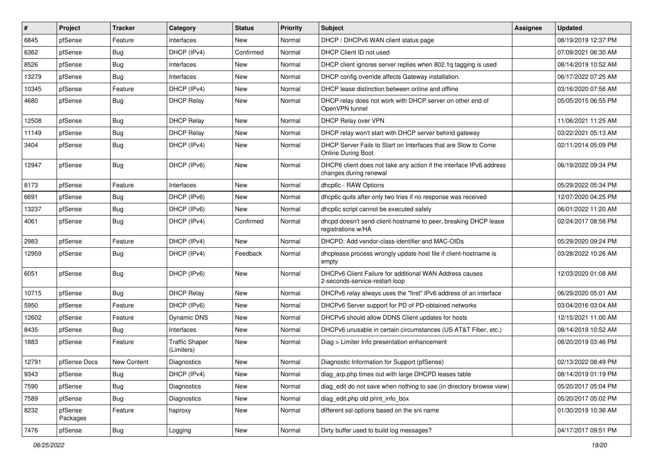| #     | Project             | <b>Tracker</b> | Category                            | <b>Status</b> | <b>Priority</b> | <b>Subject</b>                                                                                | <b>Assignee</b> | <b>Updated</b>      |
|-------|---------------------|----------------|-------------------------------------|---------------|-----------------|-----------------------------------------------------------------------------------------------|-----------------|---------------------|
| 6845  | pfSense             | Feature        | Interfaces                          | New           | Normal          | DHCP / DHCPv6 WAN client status page                                                          |                 | 08/19/2019 12:37 PM |
| 6362  | pfSense             | Bug            | DHCP (IPv4)                         | Confirmed     | Normal          | DHCP Client ID not used                                                                       |                 | 07/09/2021 06:30 AM |
| 8526  | pfSense             | <b>Bug</b>     | Interfaces                          | New           | Normal          | DHCP client ignores server replies when 802.1g tagging is used                                |                 | 08/14/2019 10:52 AM |
| 13279 | pfSense             | Bug            | Interfaces                          | New           | Normal          | DHCP config override affects Gateway installation.                                            |                 | 06/17/2022 07:25 AM |
| 10345 | pfSense             | Feature        | DHCP (IPv4)                         | New           | Normal          | DHCP lease distinction between online and offline                                             |                 | 03/16/2020 07:56 AM |
| 4680  | pfSense             | Bug            | <b>DHCP Relay</b>                   | New           | Normal          | DHCP relay does not work with DHCP server on other end of<br>OpenVPN tunnel                   |                 | 05/05/2015 06:55 PM |
| 12508 | pfSense             | <b>Bug</b>     | <b>DHCP Relay</b>                   | New           | Normal          | DHCP Relay over VPN                                                                           |                 | 11/06/2021 11:25 AM |
| 11149 | pfSense             | <b>Bug</b>     | <b>DHCP Relay</b>                   | New           | Normal          | DHCP relay won't start with DHCP server behind gateway                                        |                 | 03/22/2021 05:13 AM |
| 3404  | pfSense             | Bug            | DHCP (IPv4)                         | New           | Normal          | DHCP Server Fails to Start on Interfaces that are Slow to Come<br><b>Online During Boot</b>   |                 | 02/11/2014 05:09 PM |
| 12947 | pfSense             | <b>Bug</b>     | DHCP (IPv6)                         | <b>New</b>    | Normal          | DHCP6 client does not take any action if the interface IPv6 address<br>changes during renewal |                 | 06/19/2022 09:34 PM |
| 8173  | pfSense             | Feature        | Interfaces                          | New           | Normal          | dhcp6c - RAW Options                                                                          |                 | 05/29/2022 05:34 PM |
| 6691  | pfSense             | <b>Bug</b>     | DHCP (IPv6)                         | <b>New</b>    | Normal          | dhcp6c quits after only two tries if no response was received                                 |                 | 12/07/2020 04:25 PM |
| 13237 | pfSense             | <b>Bug</b>     | DHCP (IPv6)                         | New           | Normal          | dhcp6c script cannot be executed safely                                                       |                 | 06/01/2022 11:20 AM |
| 4061  | pfSense             | <b>Bug</b>     | DHCP (IPv4)                         | Confirmed     | Normal          | dhcpd doesn't send client-hostname to peer, breaking DHCP lease<br>registrations w/HA         |                 | 02/24/2017 08:58 PM |
| 2983  | pfSense             | Feature        | DHCP (IPv4)                         | <b>New</b>    | Normal          | DHCPD: Add vendor-class-identifier and MAC-OIDs                                               |                 | 05/29/2020 09:24 PM |
| 12959 | pfSense             | <b>Bug</b>     | DHCP (IPv4)                         | Feedback      | Normal          | dhoplease process wrongly update host file if client-hostname is<br>empty                     |                 | 03/28/2022 10:26 AM |
| 6051  | pfSense             | <b>Bug</b>     | DHCP (IPv6)                         | New           | Normal          | DHCPv6 Client Failure for additional WAN Address causes<br>2-seconds-service-restart-loop     |                 | 12/03/2020 01:08 AM |
| 10715 | pfSense             | <b>Bug</b>     | <b>DHCP Relay</b>                   | New           | Normal          | DHCPv6 relay always uses the "first" IPv6 address of an interface                             |                 | 06/29/2020 05:01 AM |
| 5950  | pfSense             | Feature        | DHCP (IPv6)                         | New           | Normal          | DHCPv6 Server support for PD of PD-obtained networks                                          |                 | 03/04/2016 03:04 AM |
| 12602 | pfSense             | Feature        | Dynamic DNS                         | New           | Normal          | DHCPv6 should allow DDNS Client updates for hosts                                             |                 | 12/15/2021 11:00 AM |
| 8435  | pfSense             | Bug            | Interfaces                          | <b>New</b>    | Normal          | DHCPv6 unusable in certain circumstances (US AT&T Fiber, etc.)                                |                 | 08/14/2019 10:52 AM |
| 1883  | pfSense             | Feature        | <b>Traffic Shaper</b><br>(Limiters) | New           | Normal          | Diag > Limiter Info presentation enhancement                                                  |                 | 08/20/2019 03:46 PM |
| 12791 | pfSense Docs        | New Content    | Diagnostics                         | New           | Normal          | Diagnostic Information for Support (pfSense)                                                  |                 | 02/13/2022 08:49 PM |
| 9343  | pfSense             | <b>Bug</b>     | DHCP (IPv4)                         | New           | Normal          | diag_arp.php times out with large DHCPD leases table                                          |                 | 08/14/2019 01:19 PM |
| 7590  | pfSense             | <b>Bug</b>     | Diagnostics                         | New           | Normal          | diag_edit do not save when nothing to sae (in directory browse view)                          |                 | 05/20/2017 05:04 PM |
| 7589  | pfSense             | <b>Bug</b>     | Diagnostics                         | New           | Normal          | diag edit.php old print info box                                                              |                 | 05/20/2017 05:02 PM |
| 8232  | pfSense<br>Packages | Feature        | haproxy                             | New           | Normal          | different ssl options based on the sni name                                                   |                 | 01/30/2019 10:36 AM |
| 7476  | pfSense             | Bug            | Logging                             | New           | Normal          | Dirty buffer used to build log messages?                                                      |                 | 04/17/2017 09:51 PM |